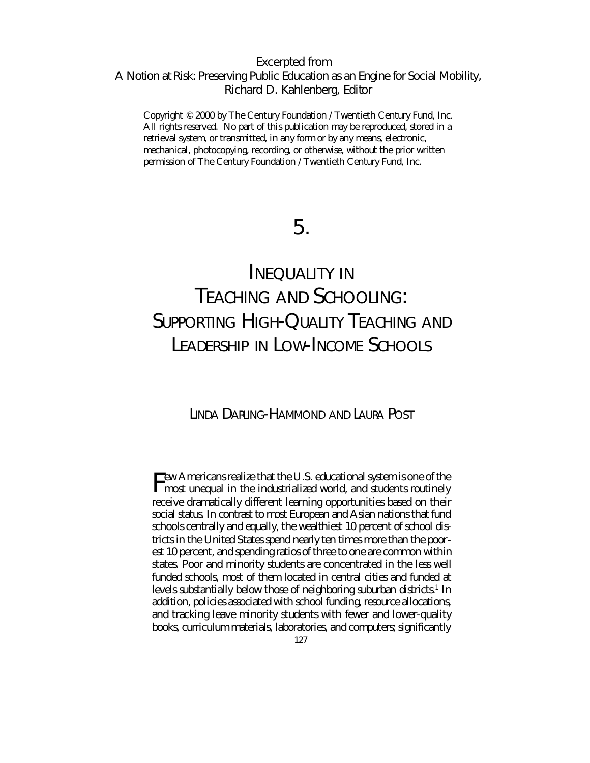Excerpted from *A* Notion at Risk: Preserving Public Education as an Engine for Social Mobility, Richard D. Kahlenberg, Editor

Copyright © 2000 by The Century Foundation / Twentieth Century Fund, Inc. All rights reserved. No part of this publication may be reproduced, stored in a retrieval system, or transmitted, in any form or by any means, electronic, mechanical, photocopying, recording, or otherwise, without the prior written permission of The Century Foundation / Twentieth Century Fund, Inc.

# 5.

# INEQUALITY IN TEACHING AND SCHOOLING: SUPPORTING HIGH-QUALITY TEACHING AND LEADERSHIP IN LOW-INCOME SCHOOLS

# LINDA DARLING-HAMMOND AND LAURA POST

Few Americans realize that the U.S. educational system is one of the most unequal in the industrialized world, and students routinely receive dramatically different learning opportunities based on their social status. In contrast to most European and Asian nations that fund schools centrally and equally, the wealthiest 10 percent of school districts in the United States spend nearly ten times more than the poorest 10 percent, and spending ratios of three to one are common within states. Poor and minority students are concentrated in the less well funded schools, most of them located in central cities and funded at levels substantially below those of neighboring suburban districts.<sup>1</sup> In addition, policies associated with school funding, resource allocations, and tracking leave minority students with fewer and lower-quality books, curriculum materials, laboratories, and computers; significantly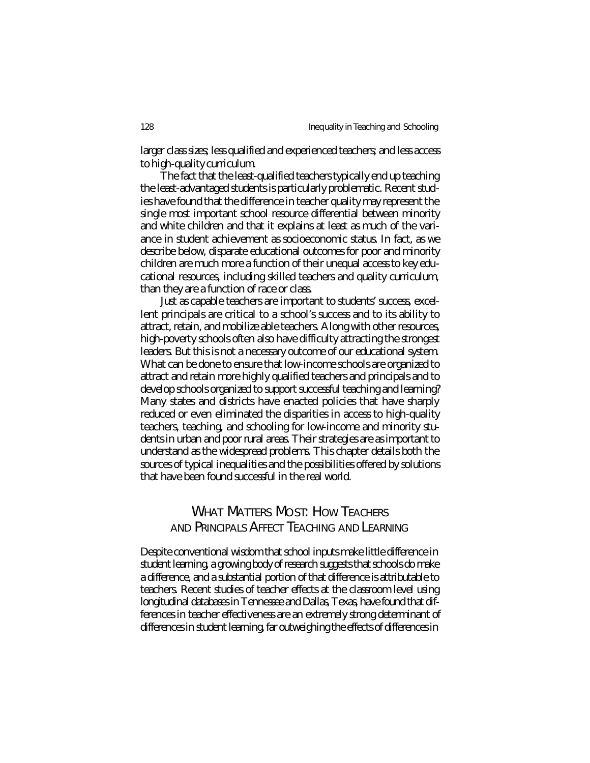larger class sizes; less qualified and experienced teachers; and less access to high-quality curriculum.

The fact that the least-qualified teachers typically end up teaching the least-advantaged students is particularly problematic. Recent studies have found that the difference in teacher quality may represent the single most important school resource differential between minority and white children and that it explains at least as much of the variance in student achievement as socioeconomic status. In fact, as we describe below, disparate educational outcomes for poor and minority children are much more a function of their unequal access to key educational resources, including skilled teachers and quality curriculum, than they are a function of race or class.

Just as capable teachers are important to students' success, excellent principals are critical to a school's success and to its ability to attract, retain, and mobilize able teachers. Along with other resources, high-poverty schools often also have difficulty attracting the strongest leaders. But this is not a necessary outcome of our educational system. What can be done to ensure that low-income schools are organized to attract and retain more highly qualified teachers and principals and to develop schools organized to support successful teaching and learning? Many states and districts have enacted policies that have sharply reduced or even eliminated the disparities in access to high-quality teachers, teaching, and schooling for low-income and minority students in urban and poor rural areas. Their strategies are as important to understand as the widespread problems. This chapter details both the sources of typical inequalities and the possibilities offered by solutions that have been found successful in the real world.

# WHAT MATTERS MOST: HOW TEACHERS AND PRINCIPALS AFFECT TEACHING AND LEARNING

Despite conventional wisdom that school inputs make little difference in student learning, a growing body of research suggests that schools do make a difference, and a substantial portion of that difference is attributable to teachers. Recent studies of teacher effects at the classroom level using longitudinal databases in Tennessee and Dallas, Texas, have found that differences in teacher effectiveness are an extremely strong determinant of differences in student learning, far outweighing the effects of differences in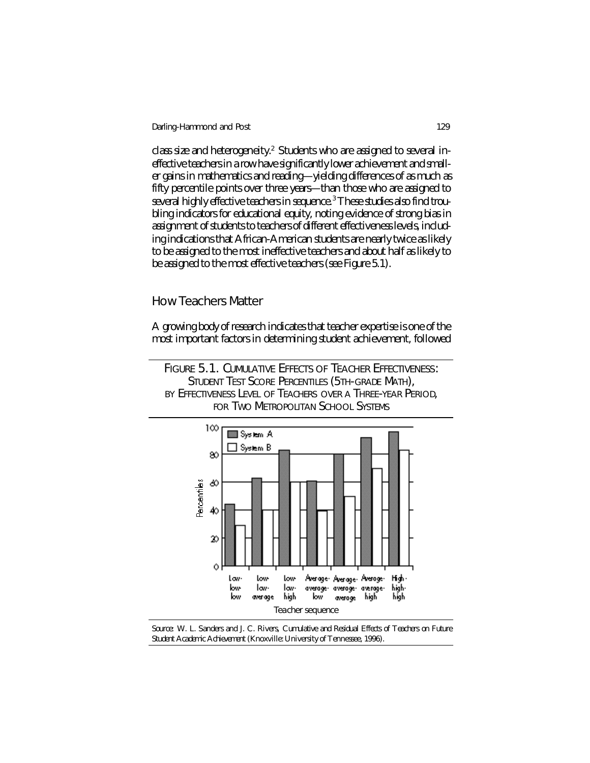class size and heterogeneity.<sup>2</sup> Students who are assigned to several ineffective teachers in a row have significantly lower achievement and smaller gains in mathematics and reading—yielding differences of as much as fifty percentile points over three years—than those who are assigned to several highly effective teachers in sequence.<sup>3</sup> These studies also find troubling indicators for educational equity, noting evidence of strong bias in assignment of students to teachers of different effectiveness levels, including indications that African-American students are nearly twice as likely to be assigned to the most ineffective teachers and about half as likely to be assigned to the most effective teachers (see Figure 5.1).

## How Teachers Matter

A growing body of research indicates that teacher expertise is one of the most important factors in determining student achievement, followed





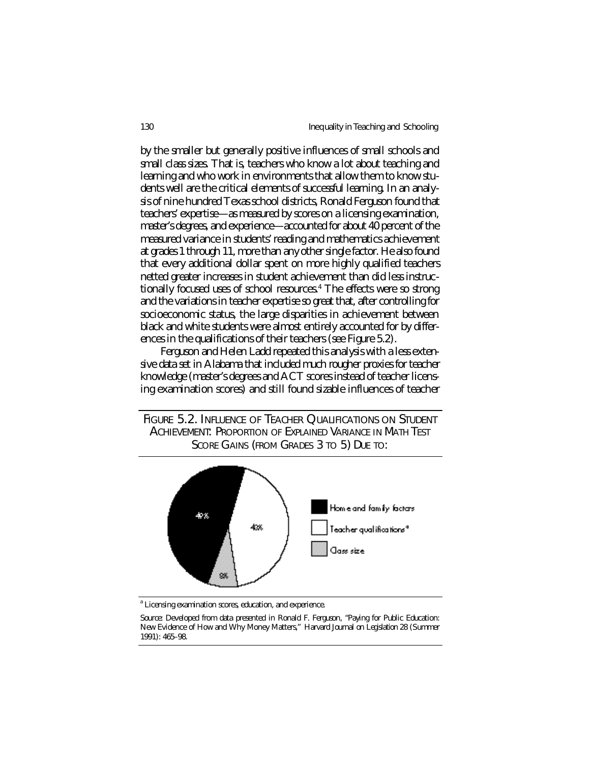by the smaller but generally positive influences of small schools and small class sizes. That is, teachers who know a lot about teaching and learning and who work in environments that allow them to know students well are the critical elements of successful learning. In an analysis of nine hundred Texas school districts, Ronald Ferguson found that teachers' expertise—as measured by scores on a licensing examination, master's degrees, and experience—accounted for about 40 percent of the measured variance in students' reading and mathematics achievement at grades 1 through 11, more than any other single factor. He also found that every additional dollar spent on more highly qualified teachers netted greater increases in student achievement than did less instructionally focused uses of school resources.<sup>4</sup> The effects were so strong and the variations in teacher expertise so great that, after controlling for socioeconomic status, the large disparities in achievement between black and white students were almost entirely accounted for by differences in the qualifications of their teachers (see Figure 5.2).

Ferguson and Helen Ladd repeated this analysis with a less extensive data set in Alabama that included much rougher proxies for teacher knowledge (master's degrees and ACT scores instead of teacher licensing examination scores) and still found sizable influences of teacher

FIGURE 5.2. INFLUENCE OF TEACHER QUALIFICATIONS ON STUDENT ACHIEVEMENT: PROPORTION OF EXPLAINED VARIANCE IN MATH TEST SCORE GAINS (FROM GRADES 3 TO 5) DUE TO:



<sup>a</sup> Licensing examination scores, education, and experience.

*Source:* Developed from data presented in Ronald F. Ferguson, "Paying for Public Education: New Evidence of How and Why Money Matters," *Harvard Journal on Legislation* 28 (Summer 1991): 465–98.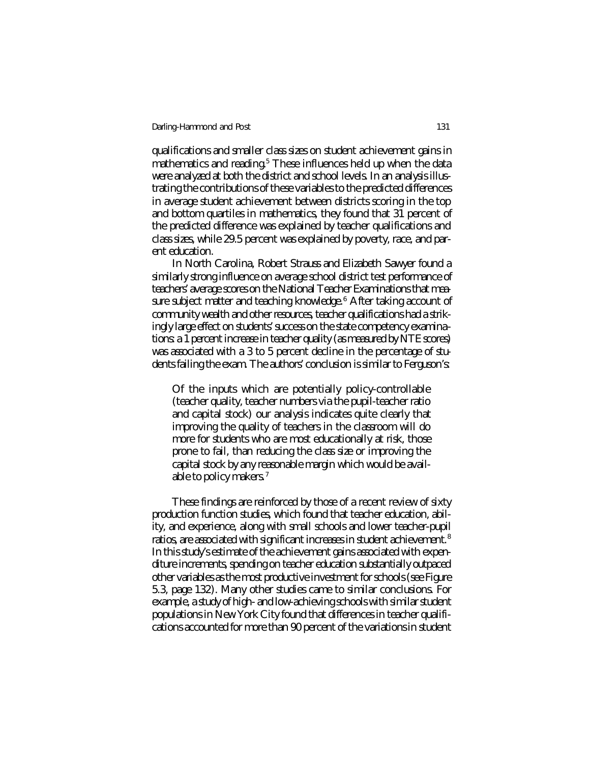qualifications and smaller class sizes on student achievement gains in mathematics and reading.<sup>5</sup> These influences held up when the data were analyzed at both the district and school levels. In an analysis illustrating the contributions of these variables to the predicted differences in average student achievement between districts scoring in the top and bottom quartiles in mathematics, they found that 31 percent of the predicted difference was explained by teacher qualifications and class sizes, while 29.5 percent was explained by poverty, race, and parent education.

In North Carolina, Robert Strauss and Elizabeth Sawyer found a similarly strong influence on average school district test performance of teachers' average scores on the National Teacher Examinations that measure subject matter and teaching knowledge.<sup>6</sup> After taking account of community wealth and other resources, teacher qualifications had a strikingly large effect on students' success on the state competency examinations: a 1 percent increase in teacher quality (as measured by NTE scores) was associated with a 3 to 5 percent decline in the percentage of students failing the exam. The authors' conclusion is similar to Ferguson's:

Of the inputs which are potentially policy-controllable (teacher quality, teacher numbers via the pupil-teacher ratio and capital stock) our analysis indicates quite clearly that improving the quality of teachers in the classroom will do more for students who are most educationally at risk, those prone to fail, than reducing the class size or improving the capital stock by any reasonable margin which would be available to policy makers.<sup>7</sup>

These findings are reinforced by those of a recent review of sixty production function studies, which found that teacher education, ability, and experience, along with small schools and lower teacher-pupil ratios, are associated with significant increases in student achievement.<sup>8</sup> In this study's estimate of the achievement gains associated with expenditure increments, spending on teacher education substantially outpaced other variables as the most productive investment for schools (see Figure 5.3, page 132). Many other studies came to similar conclusions. For example, a study of high- and low-achieving schools with similar student populations in New York City found that differences in teacher qualifications accounted for more than 90 percent of the variations in student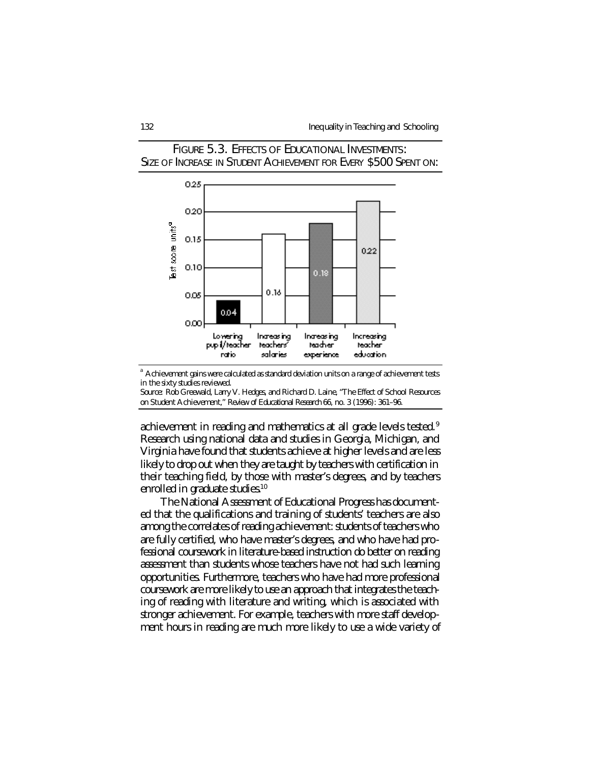

FIGURE 5.3. EFFECTS OF EDUCATIONAL INVESTMENTS: SIZE OF INCREASE IN STUDENT ACHIEVEMENT FOR EVERY \$500 SPENT ON:

<sup>a</sup>Achievement gains were calculated as standard deviation units on a range of achievement tests in the sixty studies reviewed.

*Source:* Rob Greewald, Larry V. Hedges, and Richard D. Laine, "The Effect of School Resources on Student Achievement," *Review of Educational Research* 66, no. 3 (1996): 361–96.

achievement in reading and mathematics at all grade levels tested.<sup>9</sup> Research using national data and studies in Georgia, Michigan, and Virginia have found that students achieve at higher levels and are less likely to drop out when they are taught by teachers with certification in their teaching field, by those with master's degrees, and by teachers enrolled in graduate studies.<sup>10</sup>

The National Assessment of Educational Progress has documented that the qualifications and training of students' teachers are also among the correlates of reading achievement: students of teachers who are fully certified, who have master's degrees, and who have had professional coursework in literature-based instruction do better on reading assessment than students whose teachers have not had such learning opportunities. Furthermore, teachers who have had more professional coursework are more likely to use an approach that integrates the teaching of reading with literature and writing, which is associated with stronger achievement. For example, teachers with more staff development hours in reading are much more likely to use a wide variety of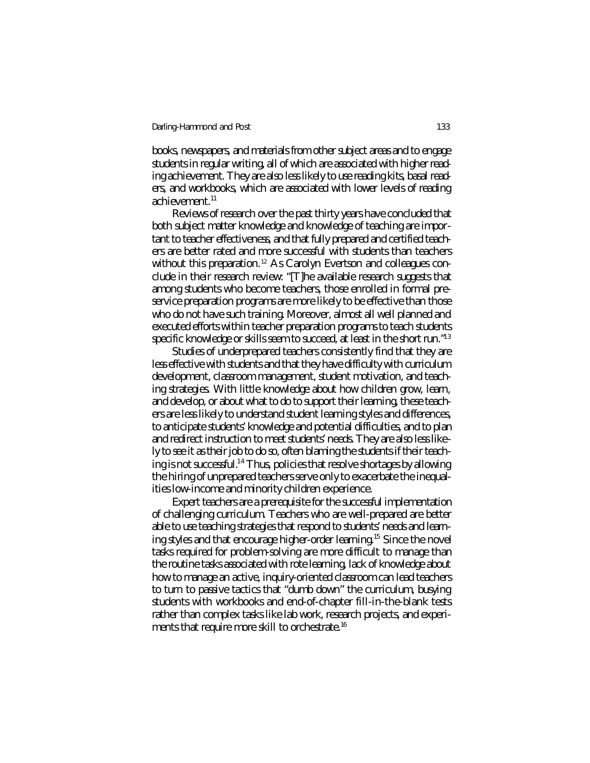books, newspapers, and materials from other subject areas and to engage students in regular writing, all of which are associated with higher reading achievement. They are also less likely to use reading kits, basal readers, and workbooks, which are associated with lower levels of reading achievement.<sup>11</sup>

Reviews of research over the past thirty years have concluded that both subject matter knowledge and knowledge of teaching are important to teacher effectiveness, and that fully prepared and certified teachers are better rated and more successful with students than teachers without this preparation.<sup>12</sup> As Carolyn Evertson and colleagues conclude in their research review: "[T]he available research suggests that among students who become teachers, those enrolled in formal preservice preparation programs are more likely to be effective than those who do not have such training. Moreover, almost all well planned and executed efforts within teacher preparation programs to teach students specific knowledge or skills seem to succeed, at least in the short run."<sup>13</sup>

Studies of underprepared teachers consistently find that they are less effective with students and that they have difficulty with curriculum development, classroom management, student motivation, and teaching strategies. With little knowledge about how children grow, learn, and develop, or about what to do to support their learning, these teachers are less likely to understand student learning styles and differences, to anticipate students' knowledge and potential difficulties, and to plan and redirect instruction to meet students' needs. They are also less likely to see it as their job to do so, often blaming the students if their teaching is not successful.<sup>14</sup> Thus, policies that resolve shortages by allowing the hiring of unprepared teachers serve only to exacerbate the inequalities low-income and minority children experience.

Expert teachers are a prerequisite for the successful implementation of challenging curriculum. Teachers who are well-prepared are better able to use teaching strategies that respond to students' needs and learning styles and that encourage higher-order learning.<sup>15</sup> Since the novel tasks required for problem-solving are more difficult to manage than the routine tasks associated with rote learning, lack of knowledge about how to manage an active, inquiry-oriented classroom can lead teachers to turn to passive tactics that "dumb down" the curriculum, busying students with workbooks and end-of-chapter fill-in-the-blank tests rather than complex tasks like lab work, research projects, and experiments that require more skill to orchestrate.<sup>16</sup>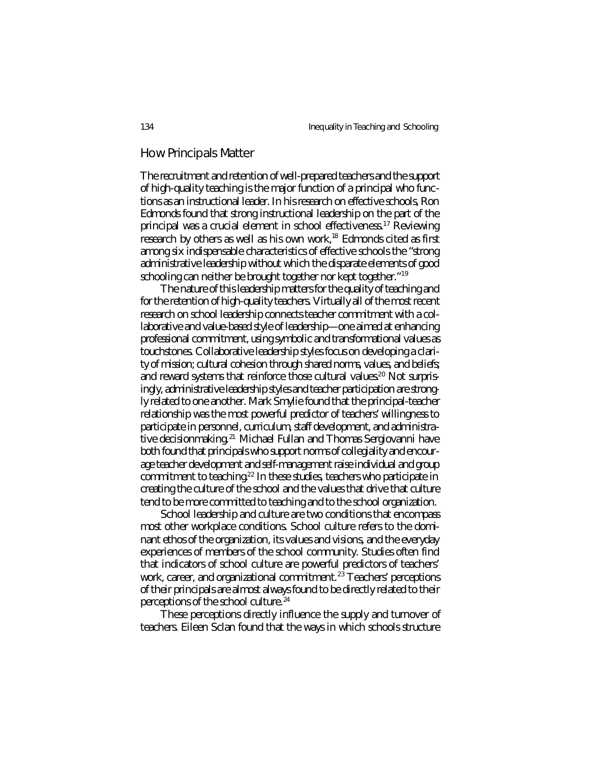### How Principals Matter

The recruitment and retention of well-prepared teachers and the support of high-quality teaching is the major function of a principal who functions as an instructional leader. In his research on effective schools, Ron Edmonds found that strong instructional leadership on the part of the principal was a crucial element in school effectiveness.<sup>17</sup> Reviewing research by others as well as his own work,<sup>18</sup> Edmonds cited as first among six indispensable characteristics of effective schools the "strong administrative leadership without which the disparate elements of good schooling can neither be brought together nor kept together."<sup>19</sup>

The nature of this leadership matters for the quality of teaching and for the retention of high-quality teachers. Virtually all of the most recent research on school leadership connects teacher commitment with a collaborative and value-based style of leadership—one aimed at enhancing professional commitment, using symbolic and transformational values as touchstones. Collaborative leadership styles focus on developing a clarity of mission; cultural cohesion through shared norms, values, and beliefs; and reward systems that reinforce those cultural values.<sup>20</sup> Not surprisingly, administrative leadership styles and teacher participation are strongly related to one another. Mark Smylie found that the principal-teacher relationship was the most powerful predictor of teachers' willingness to participate in personnel, curriculum, staff development, and administrative decisionmaking.<sup>21</sup> Michael Fullan and Thomas Sergiovanni have both found that principals who support norms of collegiality and encourage teacher development and self-management raise individual and group commitment to teaching.<sup>22</sup> In these studies, teachers who participate in creating the culture of the school and the values that drive that culture tend to be more committed to teaching and to the school organization.

School leadership and culture are two conditions that encompass most other workplace conditions. School culture refers to the dominant ethos of the organization, its values and visions, and the everyday experiences of members of the school community. Studies often find that indicators of school culture are powerful predictors of teachers' work, career, and organizational commitment.<sup>23</sup> Teachers' perceptions of their principals are almost always found to be directly related to their perceptions of the school culture.<sup>24</sup>

These perceptions directly influence the supply and turnover of teachers. Eileen Sclan found that the ways in which schools structure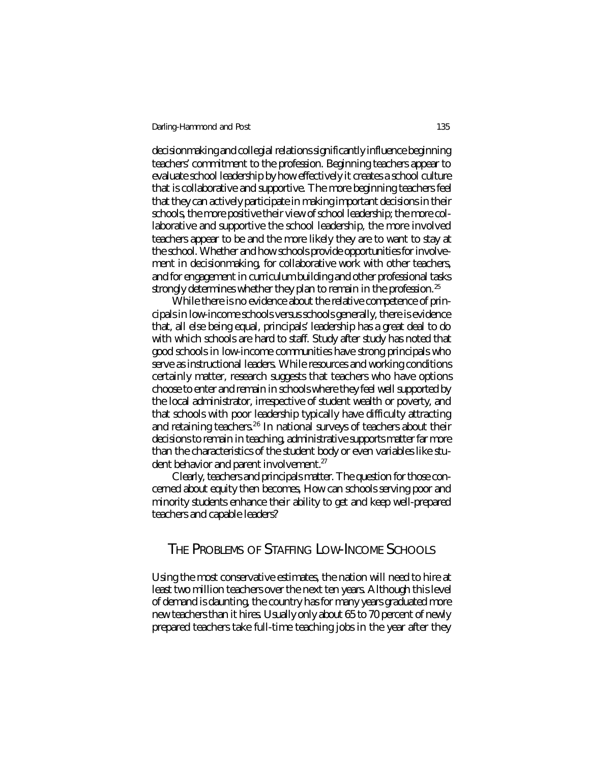decisionmaking and collegial relations significantly influence beginning teachers' commitment to the profession. Beginning teachers appear to evaluate school leadership by how effectively it creates a school culture that is collaborative and supportive. The more beginning teachers feel that they can actively participate in making important decisions in their schools, the more positive their view of school leadership; the more collaborative and supportive the school leadership, the more involved teachers appear to be and the more likely they are to want to stay at the school. Whether and how schools provide opportunities for involvement in decisionmaking, for collaborative work with other teachers, and for engagement in curriculum building and other professional tasks strongly determines whether they plan to remain in the profession.<sup>25</sup>

While there is no evidence about the relative competence of principals in low-income schools versus schools generally, there is evidence that, all else being equal, principals' leadership has a great deal to do with which schools are hard to staff. Study after study has noted that good schools in low-income communities have strong principals who serve as instructional leaders. While resources and working conditions certainly matter, research suggests that teachers who have options choose to enter and remain in schools where they feel well supported by the local administrator, irrespective of student wealth or poverty, and that schools with poor leadership typically have difficulty attracting and retaining teachers.<sup>26</sup> In national surveys of teachers about their decisions to remain in teaching, administrative supports matter far more than the characteristics of the student body or even variables like student behavior and parent involvement.<sup>27</sup>

Clearly, teachers and principals matter. The question for those concerned about equity then becomes, How can schools serving poor and minority students enhance their ability to get and keep well-prepared teachers and capable leaders?

## THE PROBLEMS OF STAFFING LOW-INCOME SCHOOLS

Using the most conservative estimates, the nation will need to hire at least two million teachers over the next ten years. Although this level of demand is daunting, the country has for many years graduated more new teachers than it hires. Usually only about 65 to 70 percent of newly prepared teachers take full-time teaching jobs in the year after they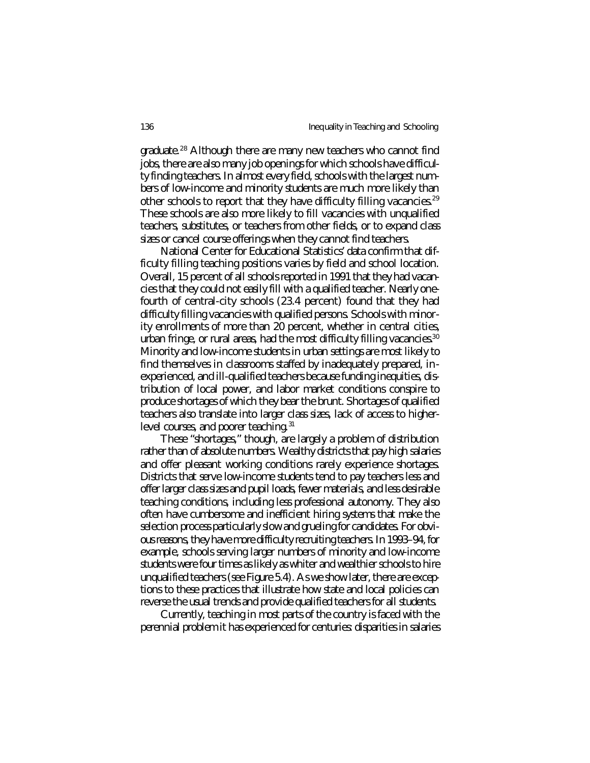graduate.<sup>28</sup> Although there are many new teachers who cannot find jobs, there are also many job openings for which schools have difficulty finding teachers. In almost every field, schools with the largest numbers of low-income and minority students are much more likely than other schools to report that they have difficulty filling vacancies.<sup>29</sup> These schools are also more likely to fill vacancies with unqualified teachers, substitutes, or teachers from other fields, or to expand class sizes or cancel course offerings when they cannot find teachers.

National Center for Educational Statistics' data confirm that difficulty filling teaching positions varies by field and school location. Overall, 15 percent of all schools reported in 1991 that they had vacancies that they could not easily fill with a qualified teacher. Nearly onefourth of central-city schools (23.4 percent) found that they had difficulty filling vacancies with qualified persons. Schools with minority enrollments of more than 20 percent, whether in central cities, urban fringe, or rural areas, had the most difficulty filling vacancies.<sup>30</sup> Minority and low-income students in urban settings are most likely to find themselves in classrooms staffed by inadequately prepared, inexperienced, and ill-qualified teachers because funding inequities, distribution of local power, and labor market conditions conspire to produce shortages of which they bear the brunt. Shortages of qualified teachers also translate into larger class sizes, lack of access to higherlevel courses, and poorer teaching.<sup>31</sup>

These "shortages," though, are largely a problem of distribution rather than of absolute numbers. Wealthy districts that pay high salaries and offer pleasant working conditions rarely experience shortages. Districts that serve low-income students tend to pay teachers less and offer larger class sizes and pupil loads, fewer materials, and less desirable teaching conditions, including less professional autonomy. They also often have cumbersome and inefficient hiring systems that make the selection process particularly slow and grueling for candidates. For obvious reasons, they have more difficulty recruiting teachers. In 1993–94, for example, schools serving larger numbers of minority and low-income students were four times as likely as whiter and wealthier schools to hire unqualified teachers (see Figure 5.4). As we show later, there are exceptions to these practices that illustrate how state and local policies can reverse the usual trends and provide qualified teachers for all students.

Currently, teaching in most parts of the country is faced with the perennial problem it has experienced for centuries: disparities in salaries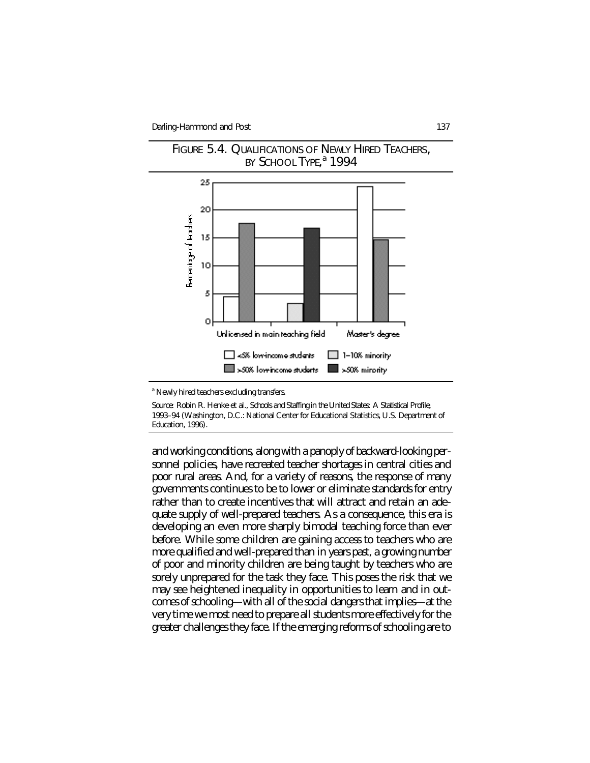



<sup>a</sup> Newly hired teachers excluding transfers.

*Source:* Robin R. Henke et al., *Schools and Staffing in the United States: A Statistical Profile, 1993–94* (Washington, D.C.: National Center for Educational Statistics, U.S. Department of Education, 1996).

and working conditions, along with a panoply of backward-looking personnel policies, have recreated teacher shortages in central cities and poor rural areas. And, for a variety of reasons, the response of many governments continues to be to lower or eliminate standards for entry rather than to create incentives that will attract and retain an adequate supply of well-prepared teachers. As a consequence, this era is developing an even more sharply bimodal teaching force than ever before. While some children are gaining access to teachers who are more qualified and well-prepared than in years past, a growing number of poor and minority children are being taught by teachers who are sorely unprepared for the task they face. This poses the risk that we may see heightened inequality in opportunities to learn and in outcomes of schooling—with all of the social dangers that implies—at the very time we most need to prepare all students more effectively for the greater challenges they face. If the emerging reforms of schooling are to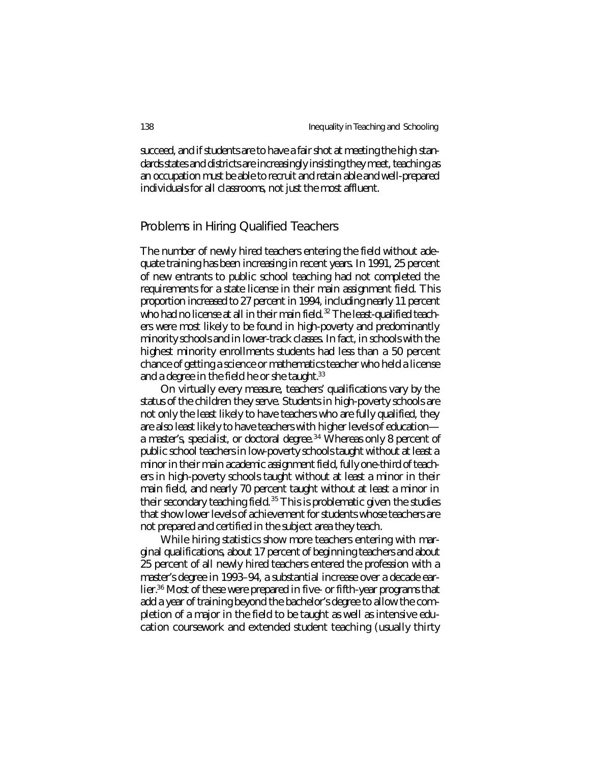succeed, and if students are to have a fair shot at meeting the high standards states and districts are increasingly insisting they meet, teaching as an occupation must be able to recruit and retain able and well-prepared individuals for all classrooms, not just the most affluent.

## Problems in Hiring Qualified Teachers

The number of newly hired teachers entering the field without adequate training has been increasing in recent years. In 1991, 25 percent of new entrants to public school teaching had not completed the requirements for a state license in their main assignment field. This proportion increased to 27 percent in 1994, including nearly 11 percent who had no license at all in their main field.<sup>32</sup> The least-qualified teachers were most likely to be found in high-poverty and predominantly minority schools and in lower-track classes. In fact, in schools with the highest minority enrollments students had less than a 50 percent chance of getting a science or mathematics teacher who held a license and a degree in the field he or she taught.<sup>33</sup>

On virtually every measure, teachers' qualifications vary by the status of the children they serve. Students in high-poverty schools are not only the least likely to have teachers who are fully qualified, they are also least likely to have teachers with higher levels of education a master's, specialist, or doctoral degree.<sup>34</sup> Whereas only 8 percent of public school teachers in low-poverty schools taught without at least a minor in their main academic assignment field, fully one-third of teachers in high-poverty schools taught without at least a minor in their main field, and nearly 70 percent taught without at least a minor in their secondary teaching field.<sup>35</sup> This is problematic given the studies that show lower levels of achievement for students whose teachers are not prepared and certified in the subject area they teach.

While hiring statistics show more teachers entering with marginal qualifications, about 17 percent of beginning teachers and about 25 percent of all newly hired teachers entered the profession with a master's degree in 1993–94, a substantial increase over a decade earlier.<sup>36</sup> Most of these were prepared in five- or fifth-year programs that add a year of training beyond the bachelor's degree to allow the completion of a major in the field to be taught as well as intensive education coursework and extended student teaching (usually thirty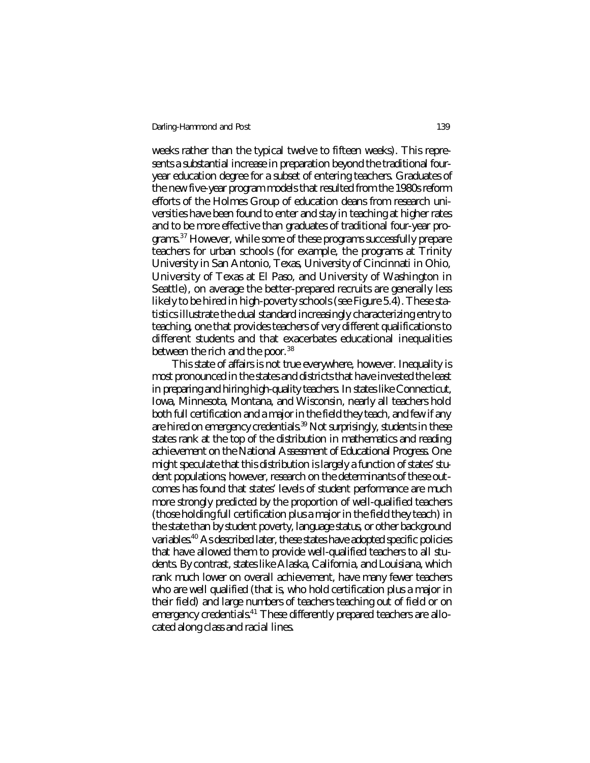weeks rather than the typical twelve to fifteen weeks). This represents a substantial increase in preparation beyond the traditional fouryear education degree for a subset of entering teachers. Graduates of the new five-year program models that resulted from the 1980s reform efforts of the Holmes Group of education deans from research universities have been found to enter and stay in teaching at higher rates and to be more effective than graduates of traditional four-year programs.<sup>37</sup> However, while some of these programs successfully prepare teachers for urban schools (for example, the programs at Trinity University in San Antonio, Texas, University of Cincinnati in Ohio, University of Texas at El Paso, and University of Washington in Seattle), on average the better-prepared recruits are generally less likely to be hired in high-poverty schools (see Figure 5.4). These statistics illustrate the dual standard increasingly characterizing entry to teaching, one that provides teachers of very different qualifications to different students and that exacerbates educational inequalities between the rich and the poor.<sup>38</sup>

This state of affairs is not true everywhere, however. Inequality is most pronounced in the states and districts that have invested the least in preparing and hiring high-quality teachers. In states like Connecticut, Iowa, Minnesota, Montana, and Wisconsin, nearly all teachers hold both full certification and a major in the field they teach, and few if any are hired on emergency credentials.<sup>39</sup> Not surprisingly, students in these states rank at the top of the distribution in mathematics and reading achievement on the National Assessment of Educational Progress. One might speculate that this distribution is largely a function of states' student populations; however, research on the determinants of these outcomes has found that states' levels of student performance are much more strongly predicted by the proportion of well-qualified teachers (those holding full certification plus a major in the field they teach) in the state than by student poverty, language status, or other background variables.<sup>40</sup> As described later, these states have adopted specific policies that have allowed them to provide well-qualified teachers to all students. By contrast, states like Alaska, California, and Louisiana, which rank much lower on overall achievement, have many fewer teachers who are well qualified (that is, who hold certification plus a major in their field) and large numbers of teachers teaching out of field or on emergency credentials.<sup>41</sup> These differently prepared teachers are allocated along class and racial lines.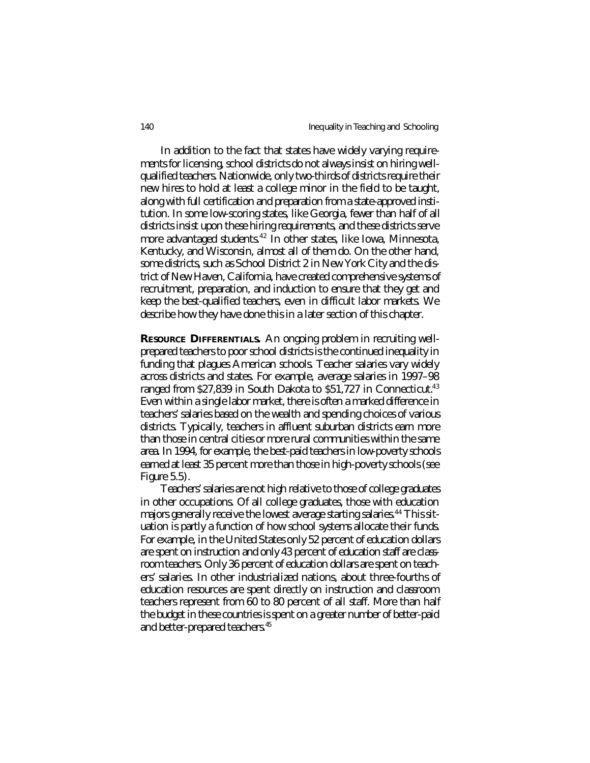In addition to the fact that states have widely varying requirements for licensing, school districts do not always insist on hiring wellqualified teachers. Nationwide, only two-thirds of districts require their new hires to hold at least a college minor in the field to be taught, along with full certification and preparation from a state-approved institution. In some low-scoring states, like Georgia, fewer than half of all districts insist upon these hiring requirements, and these districts serve more advantaged students.<sup>42</sup> In other states, like Iowa, Minnesota, Kentucky, and Wisconsin, almost all of them do. On the other hand, some districts, such as School District 2 in New York City and the district of New Haven, California, have created comprehensive systems of recruitment, preparation, and induction to ensure that they get and keep the best-qualified teachers, even in difficult labor markets. We describe how they have done this in a later section of this chapter.

*RESOURCE DIFFERENTIALS.* An ongoing problem in recruiting wellprepared teachers to poor school districts is the continued inequality in funding that plagues American schools. Teacher salaries vary widely across districts and states. For example, average salaries in 1997–98 ranged from \$27,839 in South Dakota to \$51,727 in Connecticut.<sup>43</sup> Even within a single labor market, there is often a marked difference in teachers' salaries based on the wealth and spending choices of various districts. Typically, teachers in affluent suburban districts earn more than those in central cities or more rural communities within the same area. In 1994, for example, the best-paid teachers in low-poverty schools earned at least 35 percent more than those in high-poverty schools (see Figure 5.5).

Teachers' salaries are not high relative to those of college graduates in other occupations. Of all college graduates, those with education majors generally receive the lowest average starting salaries.<sup>44</sup> This situation is partly a function of how school systems allocate their funds. For example, in the United States only 52 percent of education dollars are spent on instruction and only 43 percent of education staff are classroom teachers. Only 36 percent of education dollars are spent on teachers' salaries. In other industrialized nations, about three-fourths of education resources are spent directly on instruction and classroom teachers represent from 60 to 80 percent of all staff. More than half the budget in these countries is spent on a greater number of better-paid and better-prepared teachers.<sup>45</sup>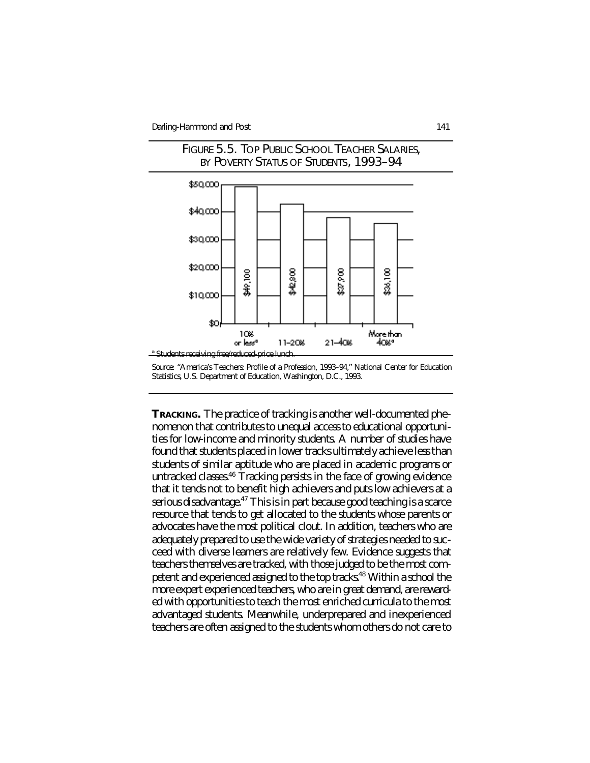



*TRACKING.* The practice of tracking is another well-documented phenomenon that contributes to unequal access to educational opportunities for low-income and minority students. A number of studies have found that students placed in lower tracks ultimately achieve less than students of similar aptitude who are placed in academic programs or untracked classes.<sup>46</sup> Tracking persists in the face of growing evidence that it tends not to benefit high achievers and puts low achievers at a serious disadvantage.<sup>47</sup> This is in part because good teaching is a scarce resource that tends to get allocated to the students whose parents or advocates have the most political clout. In addition, teachers who are adequately prepared to use the wide variety of strategies needed to succeed with diverse learners are relatively few. Evidence suggests that teachers themselves are tracked, with those judged to be the most competent and experienced assigned to the top tracks.<sup>48</sup> Within a school the more expert experienced teachers, who are in great demand, are rewarded with opportunities to teach the most enriched curricula to the most advantaged students. Meanwhile, underprepared and inexperienced teachers are often assigned to the students whom others do not care to

*Source:* "America's Teachers: Profile of a Profession, 1993–94," National Center for Education Statistics, U.S. Department of Education, Washington, D.C., 1993.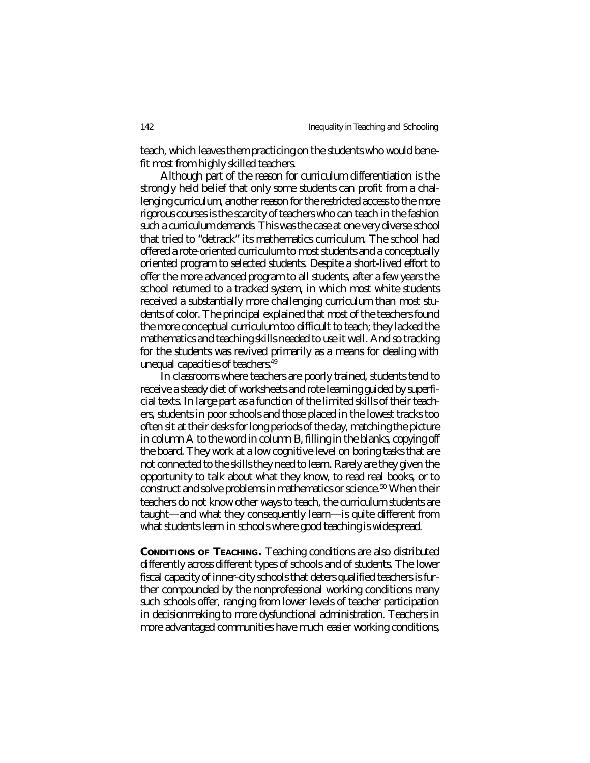teach, which leaves them practicing on the students who would benefit most from highly skilled teachers.

Although part of the reason for curriculum differentiation is the strongly held belief that only some students can profit from a challenging curriculum, another reason for the restricted access to the more rigorous courses is the scarcity of teachers who can teach in the fashion such a curriculum demands. This was the case at one very diverse school that tried to "detrack" its mathematics curriculum. The school had offered a rote-oriented curriculum to most students and a conceptually oriented program to selected students. Despite a short-lived effort to offer the more advanced program to all students, after a few years the school returned to a tracked system, in which most white students received a substantially more challenging curriculum than most students of color. The principal explained that most of the teachers found the more conceptual curriculum too difficult to teach; they lacked the mathematics and teaching skills needed to use it well. And so tracking for the students was revived primarily as a means for dealing with unequal capacities of teachers.<sup>49</sup>

In classrooms where teachers are poorly trained, students tend to receive a steady diet of worksheets and rote learning guided by superficial texts. In large part as a function of the limited skills of their teachers, students in poor schools and those placed in the lowest tracks too often sit at their desks for long periods of the day, matching the picture in column A to the word in column B, filling in the blanks, copying off the board. They work at a low cognitive level on boring tasks that are not connected to the skills they need to learn. Rarely are they given the opportunity to talk about what they know, to read real books, or to construct and solve problems in mathematics or science.<sup>50</sup> When their teachers do not know other ways to teach, the curriculum students are taught—and what they consequently learn—is quite different from what students learn in schools where good teaching is widespread.

*CONDITIONS OF TEACHING.* Teaching conditions are also distributed differently across different types of schools and of students. The lower fiscal capacity of inner-city schools that deters qualified teachers is further compounded by the nonprofessional working conditions many such schools offer, ranging from lower levels of teacher participation in decisionmaking to more dysfunctional administration. Teachers in more advantaged communities have much easier working conditions,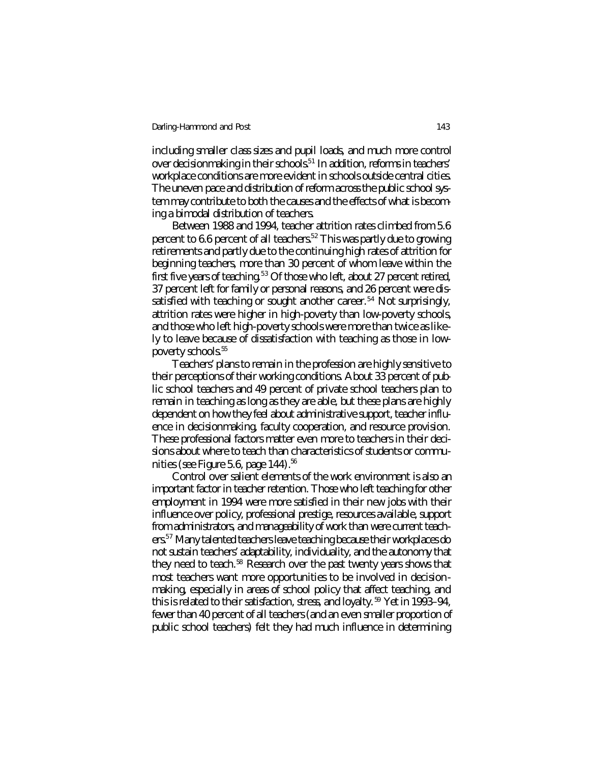including smaller class sizes and pupil loads, and much more control over decisionmaking in their schools.<sup>51</sup> In addition, reforms in teachers' workplace conditions are more evident in schools outside central cities. The uneven pace and distribution of reform across the public school system may contribute to both the causes and the effects of what is becoming a bimodal distribution of teachers.

Between 1988 and 1994, teacher attrition rates climbed from 5.6 percent to 6.6 percent of all teachers.<sup>52</sup> This was partly due to growing retirements and partly due to the continuing high rates of attrition for beginning teachers, more than 30 percent of whom leave within the first five years of teaching.<sup>53</sup> Of those who left, about 27 percent retired, 37 percent left for family or personal reasons, and 26 percent were dissatisfied with teaching or sought another career.<sup>54</sup> Not surprisingly, attrition rates were higher in high-poverty than low-poverty schools, and those who left high-poverty schools were more than twice as likely to leave because of dissatisfaction with teaching as those in lowpoverty schools.<sup>55</sup>

Teachers' plans to remain in the profession are highly sensitive to their perceptions of their working conditions. About 33 percent of public school teachers and 49 percent of private school teachers plan to remain in teaching as long as they are able, but these plans are highly dependent on how they feel about administrative support, teacher influence in decisionmaking, faculty cooperation, and resource provision. These professional factors matter even more to teachers in their decisions about where to teach than characteristics of students or communities (see Figure 5.6, page  $144$ ).<sup>56</sup>

Control over salient elements of the work environment is also an important factor in teacher retention. Those who left teaching for other employment in 1994 were more satisfied in their new jobs with their influence over policy, professional prestige, resources available, support from administrators, and manageability of work than were current teachers.<sup>57</sup> Many talented teachers leave teaching because their workplaces do not sustain teachers' adaptability, individuality, and the autonomy that they need to teach.<sup>58</sup> Research over the past twenty years shows that most teachers want more opportunities to be involved in decisionmaking, especially in areas of school policy that affect teaching, and this is related to their satisfaction, stress, and loyalty. <sup>59</sup> Yet in 1993–94, fewer than 40 percent of all teachers (and an even smaller proportion of public school teachers) felt they had much influence in determining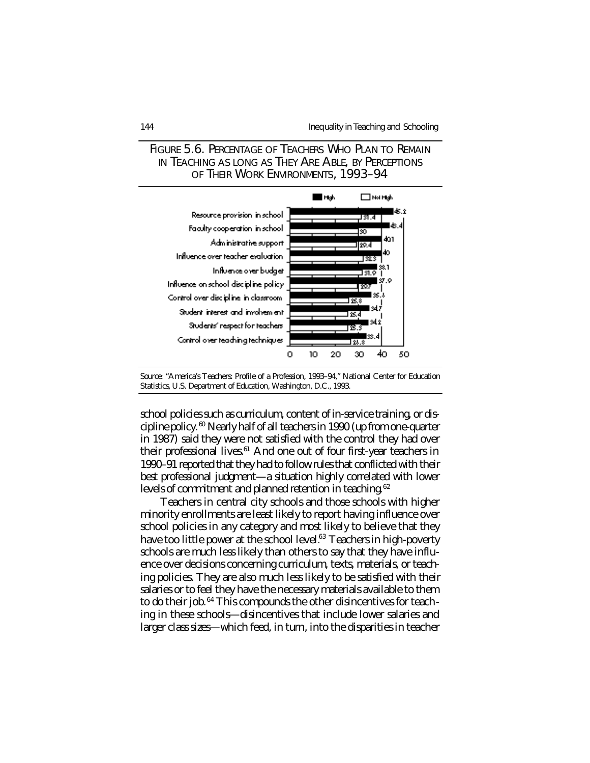

## FIGURE 5.6. PERCENTAGE OF TEACHERS WHO PLAN TO REMAIN IN TEACHING AS LONG AS THEY ARE ABLE, BY PERCEPTIONS OF THEIR WORK ENVIRONMENTS, 1993–94

school policies such as curriculum, content of in-service training, or discipline policy. <sup>60</sup> Nearly half of all teachers in 1990 (up from one-quarter in 1987) said they were not satisfied with the control they had over their professional lives.<sup>61</sup> And one out of four first-year teachers in 1990–91 reported that they had to follow rules that conflicted with their best professional judgment—a situation highly correlated with lower levels of commitment and planned retention in teaching.<sup>62</sup>

Teachers in central city schools and those schools with higher minority enrollments are least likely to report having influence over school policies in any category and most likely to believe that they have too little power at the school level.<sup>63</sup> Teachers in high-poverty schools are much less likely than others to say that they have influence over decisions concerning curriculum, texts, materials, or teaching policies. They are also much less likely to be satisfied with their salaries or to feel they have the necessary materials available to them to do their job.<sup>64</sup> This compounds the other disincentives for teaching in these schools—disincentives that include lower salaries and larger class sizes—which feed, in turn, into the disparities in teacher

*Source:* "America's Teachers: Profile of a Profession, 1993–94," National Center for Education Statistics, U.S. Department of Education, Washington, D.C., 1993.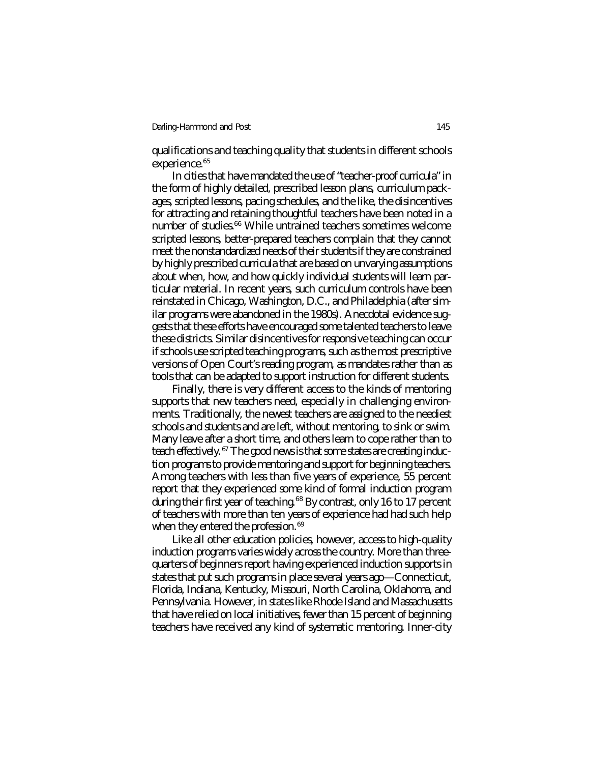qualifications and teaching quality that students in different schools experience.<sup>65</sup>

In cities that have mandated the use of "teacher-proof curricula" in the form of highly detailed, prescribed lesson plans, curriculum packages, scripted lessons, pacing schedules, and the like, the disincentives for attracting and retaining thoughtful teachers have been noted in a number of studies.<sup>66</sup> While untrained teachers sometimes welcome scripted lessons, better-prepared teachers complain that they cannot meet the nonstandardized needs of their students if they are constrained by highly prescribed curricula that are based on unvarying assumptions about when, how, and how quickly individual students will learn particular material. In recent years, such curriculum controls have been reinstated in Chicago, Washington, D.C., and Philadelphia (after similar programs were abandoned in the 1980s). Anecdotal evidence suggests that these efforts have encouraged some talented teachers to leave these districts. Similar disincentives for responsive teaching can occur if schools use scripted teaching programs, such as the most prescriptive versions of Open Court's reading program, as mandates rather than as tools that can be adapted to support instruction for different students.

Finally, there is very different access to the kinds of mentoring supports that new teachers need, especially in challenging environments. Traditionally, the newest teachers are assigned to the neediest schools and students and are left, without mentoring, to sink or swim. Many leave after a short time, and others learn to cope rather than to teach effectively. <sup>67</sup> The good news is that some states are creating induction programs to provide mentoring and support for beginning teachers. Among teachers with less than five years of experience, 55 percent report that they experienced some kind of formal induction program during their first year of teaching.<sup>68</sup> By contrast, only 16 to 17 percent of teachers with more than ten years of experience had had such help when they entered the profession.<sup>69</sup>

Like all other education policies, however, access to high-quality induction programs varies widely across the country. More than threequarters of beginners report having experienced induction supports in states that put such programs in place several years ago—Connecticut, Florida, Indiana, Kentucky, Missouri, North Carolina, Oklahoma, and Pennsylvania. However, in states like Rhode Island and Massachusetts that have relied on local initiatives, fewer than 15 percent of beginning teachers have received any kind of systematic mentoring. Inner-city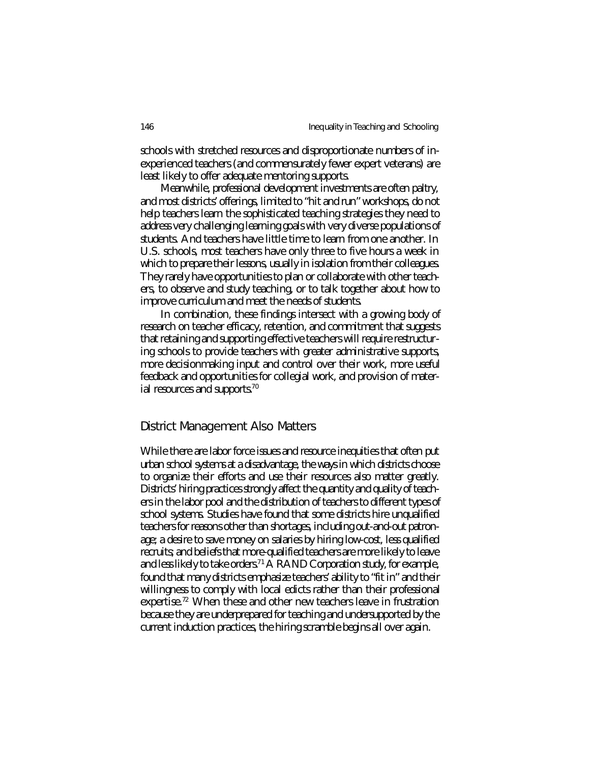schools with stretched resources and disproportionate numbers of inexperienced teachers (and commensurately fewer expert veterans) are least likely to offer adequate mentoring supports.

Meanwhile, professional development investments are often paltry, and most districts' offerings, limited to "hit and run" workshops, do not help teachers learn the sophisticated teaching strategies they need to address very challenging learning goals with very diverse populations of students. And teachers have little time to learn from one another. In U.S. schools, most teachers have only three to five hours a week in which to prepare their lessons, usually in isolation from their colleagues. They rarely have opportunities to plan or collaborate with other teachers, to observe and study teaching, or to talk together about how to improve curriculum and meet the needs of students.

In combination, these findings intersect with a growing body of research on teacher efficacy, retention, and commitment that suggests that retaining and supporting effective teachers will require restructuring schools to provide teachers with greater administrative supports, more decisionmaking input and control over their work, more useful feedback and opportunities for collegial work, and provision of material resources and supports.<sup>70</sup>

#### District Management Also Matters

While there are labor force issues and resource inequities that often put urban school systems at a disadvantage, the ways in which districts choose to organize their efforts and use their resources also matter greatly. Districts' hiring practices strongly affect the quantity and quality of teachers in the labor pool and the distribution of teachers to different types of school systems. Studies have found that some districts hire unqualified teachers for reasons other than shortages, including out-and-out patronage; a desire to save money on salaries by hiring low-cost, less qualified recruits; and beliefs that more-qualified teachers are more likely to leave and less likely to take orders.<sup>71</sup> A RAND Corporation study, for example, found that many districts emphasize teachers' ability to "fit in" and their willingness to comply with local edicts rather than their professional expertise.<sup>72</sup> When these and other new teachers leave in frustration because they are underprepared for teaching and undersupported by the current induction practices, the hiring scramble begins all over again.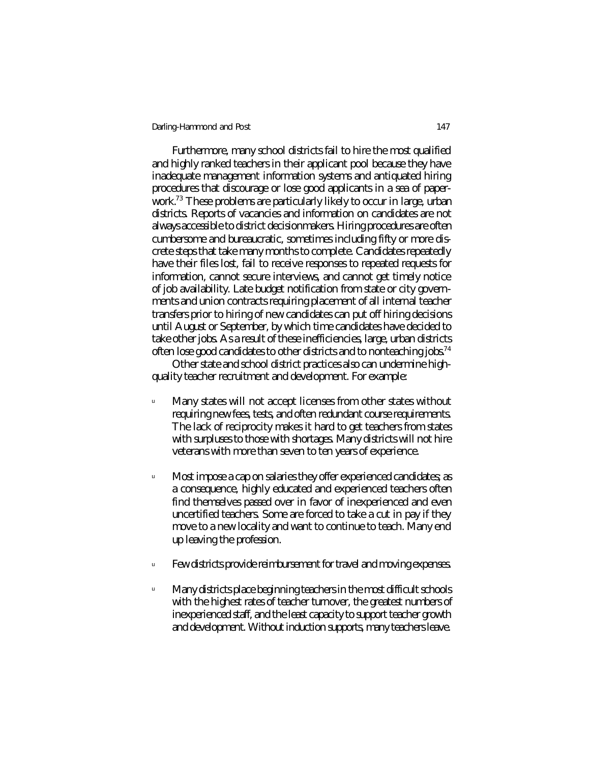Furthermore, many school districts fail to hire the most qualified and highly ranked teachers in their applicant pool because they have inadequate management information systems and antiquated hiring procedures that discourage or lose good applicants in a sea of paperwork.<sup>73</sup> These problems are particularly likely to occur in large, urban districts. Reports of vacancies and information on candidates are not always accessible to district decisionmakers. Hiring procedures are often cumbersome and bureaucratic, sometimes including fifty or more discrete steps that take many months to complete. Candidates repeatedly have their files lost, fail to receive responses to repeated requests for information, cannot secure interviews, and cannot get timely notice of job availability. Late budget notification from state or city governments and union contracts requiring placement of all internal teacher transfers prior to hiring of new candidates can put off hiring decisions until August or September, by which time candidates have decided to take other jobs. As a result of these inefficiencies, large, urban districts often lose good candidates to other districts and to nonteaching jobs.<sup>74</sup>

Other state and school district practices also can undermine highquality teacher recruitment and development. For example:

- <sup>u</sup> Many states will not accept licenses from other states without requiring new fees, tests, and often redundant course requirements. The lack of reciprocity makes it hard to get teachers from states with surpluses to those with shortages. Many districts will not hire veterans with more than seven to ten years of experience.
- <sup>u</sup> Most impose a cap on salaries they offer experienced candidates; as a consequence, highly educated and experienced teachers often find themselves passed over in favor of inexperienced and even uncertified teachers. Some are forced to take a cut in pay if they move to a new locality and want to continue to teach. Many end up leaving the profession.
- $\mathbb{I}$  Few districts provide reimbursement for travel and moving expenses.
- $^{\circ}$  Many districts place beginning teachers in the most difficult schools with the highest rates of teacher turnover, the greatest numbers of inexperienced staff, and the least capacity to support teacher growth and development. Without induction supports, many teachers leave.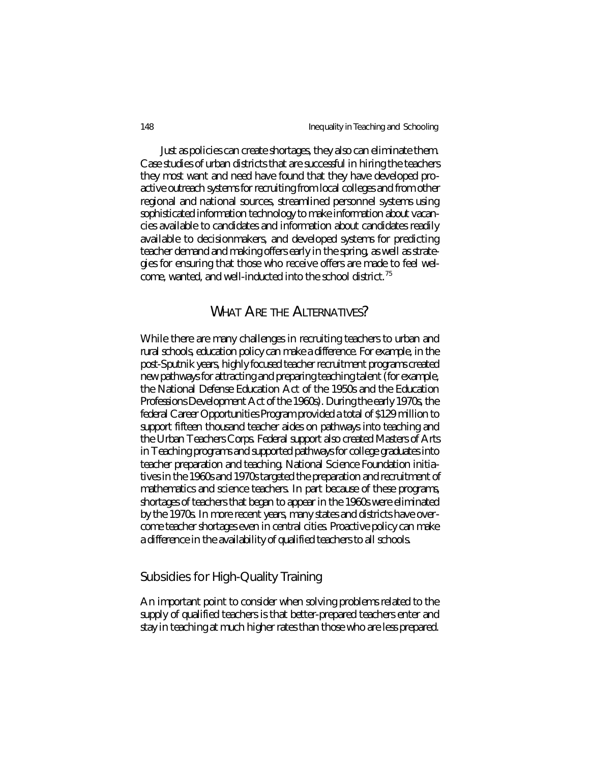Just as policies can create shortages, they also can eliminate them. Case studies of urban districts that are successful in hiring the teachers they most want and need have found that they have developed proactive outreach systems for recruiting from local colleges and from other regional and national sources, streamlined personnel systems using sophisticated information technology to make information about vacancies available to candidates and information about candidates readily available to decisionmakers, and developed systems for predicting teacher demand and making offers early in the spring, as well as strategies for ensuring that those who receive offers are made to feel welcome, wanted, and well-inducted into the school district.<sup>75</sup>

## WHAT ARE THE ALTERNATIVES?

While there are many challenges in recruiting teachers to urban and rural schools, education policy can make a difference. For example, in the post-Sputnik years, highly focused teacher recruitment programs created new pathways for attracting and preparing teaching talent (for example, the National Defense Education Act of the 1950s and the Education Professions Development Act of the 1960s). During the early 1970s, the federal Career Opportunities Program provided a total of \$129 million to support fifteen thousand teacher aides on pathways into teaching and the Urban Teachers Corps. Federal support also created Masters of Arts in Teaching programs and supported pathways for college graduates into teacher preparation and teaching. National Science Foundation initiatives in the 1960s and 1970s targeted the preparation and recruitment of mathematics and science teachers. In part because of these programs, shortages of teachers that began to appear in the 1960s were eliminated by the 1970s. In more recent years, many states and districts have overcome teacher shortages even in central cities. Proactive policy can make a difference in the availability of qualified teachers to all schools.

## Subsidies for High-Quality Training

An important point to consider when solving problems related to the supply of qualified teachers is that better-prepared teachers enter and stay in teaching at much higher rates than those who are less prepared.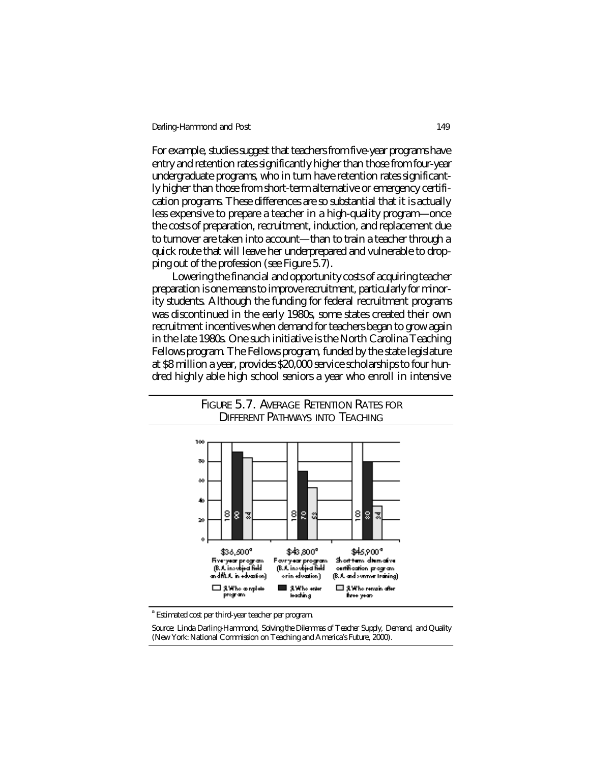For example, studies suggest that teachers from five-year programs have entry and retention rates significantly higher than those from four-year undergraduate programs, who in turn have retention rates significantly higher than those from short-term alternative or emergency certification programs. These differences are so substantial that it is actually less expensive to prepare a teacher in a high-quality program—once the costs of preparation, recruitment, induction, and replacement due to turnover are taken into account—than to train a teacher through a quick route that will leave her underprepared and vulnerable to dropping out of the profession (see Figure 5.7).

Lowering the financial and opportunity costs of acquiring teacher preparation is one means to improve recruitment, particularly for minority students. Although the funding for federal recruitment programs was discontinued in the early 1980s, some states created their own recruitment incentives when demand for teachers began to grow again in the late 1980s. One such initiative is the North Carolina Teaching Fellows program. The Fellows program, funded by the state legislature at \$8 million a year, provides \$20,000 service scholarships to four hundred highly able high school seniors a year who enroll in intensive



## FIGURE 5.7. AVERAGE RETENTION RATES FOR DIFFERENT PATHWAYS INTO TEACHING

<sup>a</sup> Estimated cost per third-year teacher per program.

*Source:* Linda Darling-Hammond, *Solving the Dilemmas of Teacher Supply, Demand, and Quality* (New York: National Commission on Teaching and America's Future, 2000).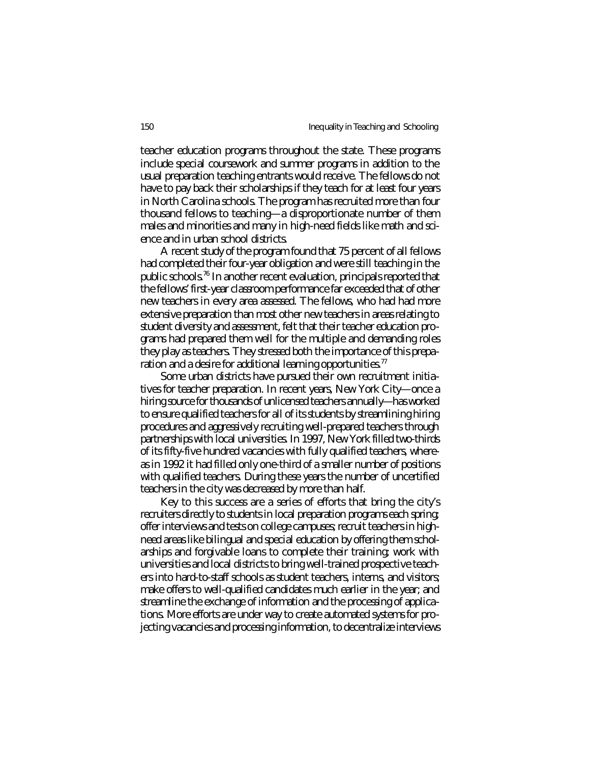teacher education programs throughout the state. These programs include special coursework and summer programs in addition to the usual preparation teaching entrants would receive. The fellows do not have to pay back their scholarships if they teach for at least four years in North Carolina schools. The program has recruited more than four thousand fellows to teaching—a disproportionate number of them males and minorities and many in high-need fields like math and science and in urban school districts.

A recent study of the program found that 75 percent of all fellows had completed their four-year obligation and were still teaching in the public schools.<sup>76</sup> In another recent evaluation, principals reported that the fellows' first-year classroom performance far exceeded that of other new teachers in every area assessed. The fellows, who had had more extensive preparation than most other new teachers in areas relating to student diversity and assessment, felt that their teacher education programs had prepared them well for the multiple and demanding roles they play as teachers. They stressed both the importance of this preparation and a desire for additional learning opportunities.<sup>77</sup>

Some urban districts have pursued their own recruitment initiatives for teacher preparation. In recent years, New York City—once a hiring source for thousands of unlicensed teachers annually—has worked to ensure qualified teachers for all of its students by streamlining hiring procedures and aggressively recruiting well-prepared teachers through partnerships with local universities. In 1997, New York filled two-thirds of its fifty-five hundred vacancies with fully qualified teachers, whereas in 1992 it had filled only one-third of a smaller number of positions with qualified teachers. During these years the number of uncertified teachers in the city was decreased by more than half.

Key to this success are a series of efforts that bring the city's recruiters directly to students in local preparation programs each spring; offer interviews and tests on college campuses; recruit teachers in highneed areas like bilingual and special education by offering them scholarships and forgivable loans to complete their training; work with universities and local districts to bring well-trained prospective teachers into hard-to-staff schools as student teachers, interns, and visitors; make offers to well-qualified candidates much earlier in the year; and streamline the exchange of information and the processing of applications. More efforts are under way to create automated systems for projecting vacancies and processing information, to decentralize interviews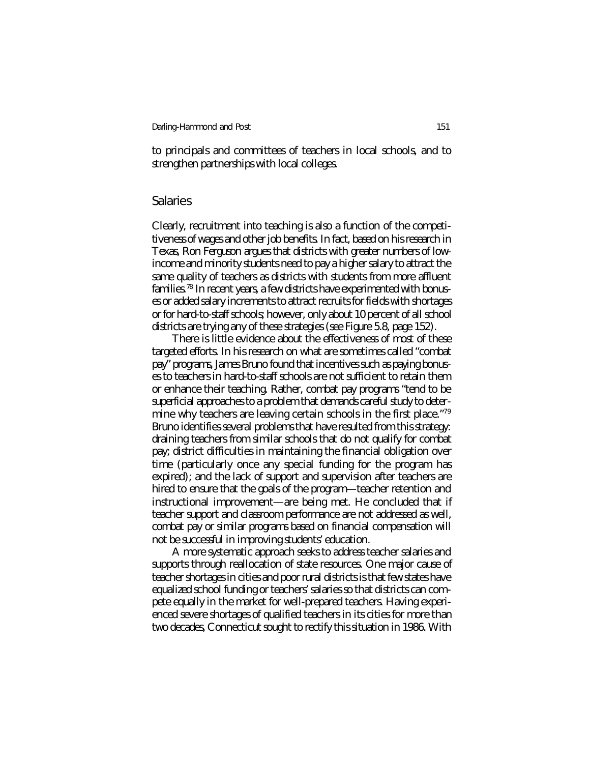to principals and committees of teachers in local schools, and to strengthen partnerships with local colleges.

### Salaries

Clearly, recruitment into teaching is also a function of the competitiveness of wages and other job benefits. In fact, based on his research in Texas, Ron Ferguson argues that districts with greater numbers of lowincome and minority students need to pay a higher salary to attract the same quality of teachers as districts with students from more affluent families.<sup>78</sup> In recent years, a few districts have experimented with bonuses or added salary increments to attract recruits for fields with shortages or for hard-to-staff schools; however, only about 10 percent of all school districts are trying any of these strategies (see Figure 5.8, page 152).

There is little evidence about the effectiveness of most of these targeted efforts. In his research on what are sometimes called "combat pay" programs, James Bruno found that incentives such as paying bonuses to teachers in hard-to-staff schools are not sufficient to retain them or enhance their teaching. Rather, combat pay programs "tend to be superficial approaches to a problem that demands careful study to determine why teachers are leaving certain schools in the first place."<sup>79</sup> Bruno identifies several problems that have resulted from this strategy: draining teachers from similar schools that do not qualify for combat pay; district difficulties in maintaining the financial obligation over time (particularly once any special funding for the program has expired); and the lack of support and supervision after teachers are hired to ensure that the goals of the program—teacher retention and instructional improvement—are being met. He concluded that if teacher support and classroom performance are not addressed as well, combat pay or similar programs based on financial compensation will not be successful in improving students' education.

A more systematic approach seeks to address teacher salaries and supports through reallocation of state resources. One major cause of teacher shortages in cities and poor rural districts is that few states have equalized school funding or teachers' salaries so that districts can compete equally in the market for well-prepared teachers. Having experienced severe shortages of qualified teachers in its cities for more than two decades, Connecticut sought to rectify this situation in 1986. With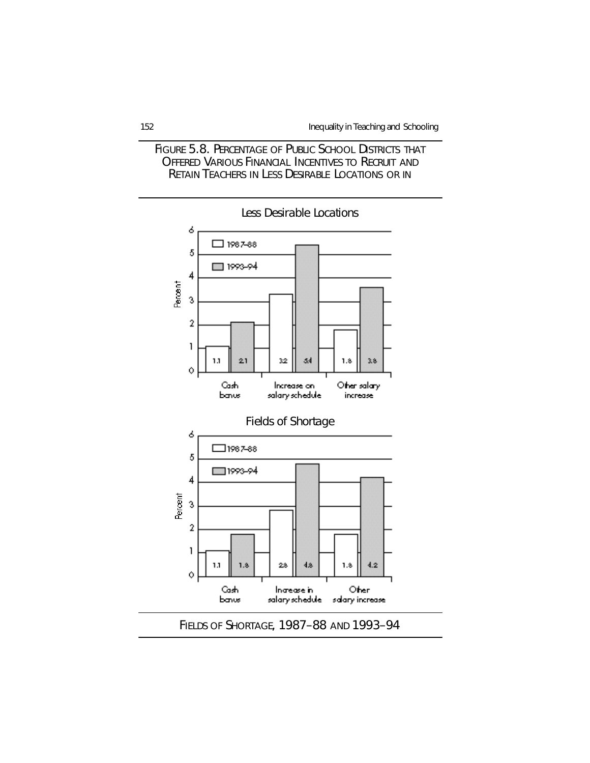



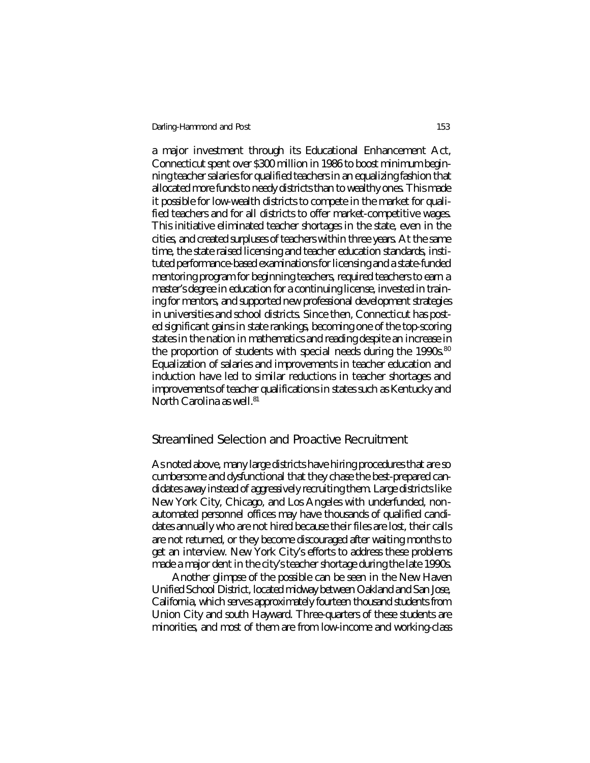a major investment through its Educational Enhancement Act, Connecticut spent over \$300 million in 1986 to boost minimum beginning teacher salaries for qualified teachers in an equalizing fashion that allocated more funds to needy districts than to wealthy ones. This made it possible for low-wealth districts to compete in the market for qualified teachers and for all districts to offer market-competitive wages. This initiative eliminated teacher shortages in the state, even in the cities, and created surpluses of teachers within three years. At the same time, the state raised licensing and teacher education standards, instituted performance-based examinations for licensing and a state-funded mentoring program for beginning teachers, required teachers to earn a master's degree in education for a continuing license, invested in training for mentors, and supported new professional development strategies in universities and school districts. Since then, Connecticut has posted significant gains in state rankings, becoming one of the top-scoring states in the nation in mathematics and reading despite an increase in the proportion of students with special needs during the  $1990s$ .<sup>80</sup> Equalization of salaries and improvements in teacher education and induction have led to similar reductions in teacher shortages and improvements of teacher qualifications in states such as Kentucky and North Carolina as well.<sup>81</sup>

#### Streamlined Selection and Proactive Recruitment

As noted above, many large districts have hiring procedures that are so cumbersome and dysfunctional that they chase the best-prepared candidates away instead of aggressively recruiting them. Large districts like New York City, Chicago, and Los Angeles with underfunded, nonautomated personnel offices may have thousands of qualified candidates annually who are not hired because their files are lost, their calls are not returned, or they become discouraged after waiting months to get an interview. New York City's efforts to address these problems made a major dent in the city's teacher shortage during the late 1990s.

Another glimpse of the possible can be seen in the New Haven Unified School District, located midway between Oakland and San Jose, California, which serves approximately fourteen thousand students from Union City and south Hayward. Three-quarters of these students are minorities, and most of them are from low-income and working-class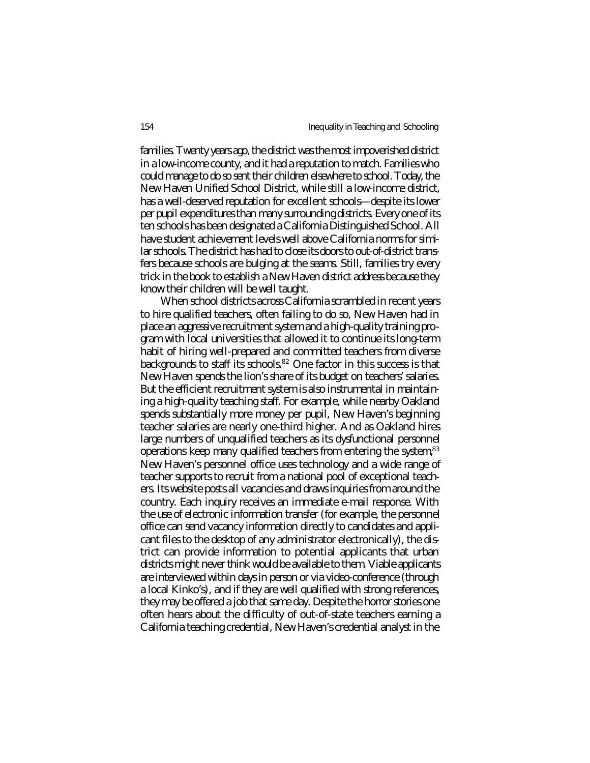families. Twenty years ago, the district was the most impoverished district in a low-income county, and it had a reputation to match. Families who could manage to do so sent their children elsewhere to school. Today, the New Haven Unified School District, while still a low-income district, has a well-deserved reputation for excellent schools—despite its lower per pupil expenditures than many surrounding districts. Every one of its ten schools has been designated a California Distinguished School. All have student achievement levels well above California norms for similar schools. The district has had to close its doors to out-of-district transfers because schools are bulging at the seams. Still, families try every trick in the book to establish a New Haven district address because they know their children will be well taught.

When school districts across California scrambled in recent years to hire qualified teachers, often failing to do so, New Haven had in place an aggressive recruitment system and a high-quality training program with local universities that allowed it to continue its long-term habit of hiring well-prepared and committed teachers from diverse backgrounds to staff its schools.<sup>82</sup> One factor in this success is that New Haven spends the lion's share of its budget on teachers' salaries. But the efficient recruitment system is also instrumental in maintaining a high-quality teaching staff. For example, while nearby Oakland spends substantially more money per pupil, New Haven's beginning teacher salaries are nearly one-third higher. And as Oakland hires large numbers of unqualified teachers as its dysfunctional personnel operations keep many qualified teachers from entering the system,<sup>83</sup> New Haven's personnel office uses technology and a wide range of teacher supports to recruit from a national pool of exceptional teachers. Its website posts all vacancies and draws inquiries from around the country. Each inquiry receives an immediate e-mail response. With the use of electronic information transfer (for example, the personnel office can send vacancy information directly to candidates and applicant files to the desktop of any administrator electronically), the district can provide information to potential applicants that urban districts might never think would be available to them. Viable applicants are interviewed within days in person or via video-conference (through a local Kinko's), and if they are well qualified with strong references, they may be offered a job that same day. Despite the horror stories one often hears about the difficulty of out-of-state teachers earning a California teaching credential, New Haven's credential analyst in the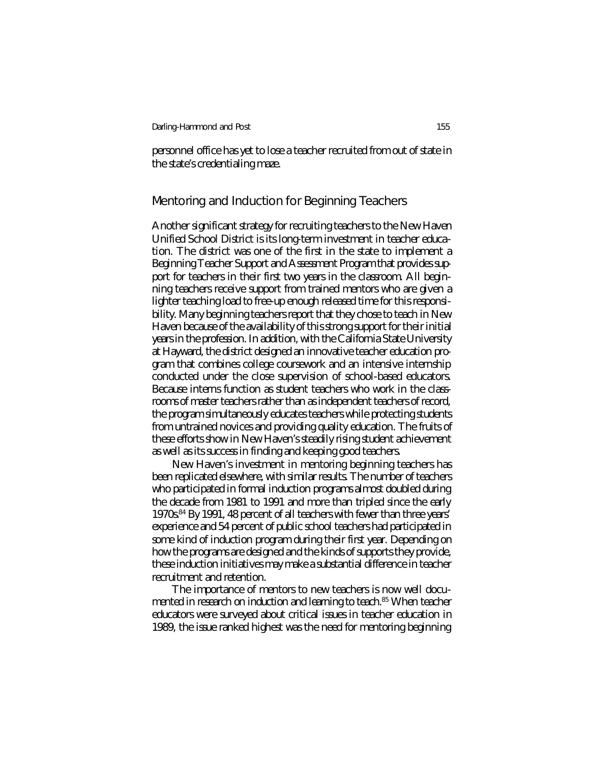personnel office has yet to lose a teacher recruited from out of state in the state's credentialing maze.

## Mentoring and Induction for Beginning Teachers

Another significant strategy for recruiting teachers to the New Haven Unified School District is its long-term investment in teacher education. The district was one of the first in the state to implement a Beginning Teacher Support and Assessment Program that provides support for teachers in their first two years in the classroom. All beginning teachers receive support from trained mentors who are given a lighter teaching load to free-up enough released time for this responsibility. Many beginning teachers report that they chose to teach in New Haven because of the availability of this strong support for their initial years in the profession. In addition, with the California State University at Hayward, the district designed an innovative teacher education program that combines college coursework and an intensive internship conducted under the close supervision of school-based educators. Because interns function as student teachers who work in the classrooms of master teachers rather than as independent teachers of record, the program simultaneously educates teachers while protecting students from untrained novices and providing quality education. The fruits of these efforts show in New Haven's steadily rising student achievement as well as its success in finding and keeping good teachers.

New Haven's investment in mentoring beginning teachers has been replicated elsewhere, with similar results. The number of teachers who participated in formal induction programs almost doubled during the decade from 1981 to 1991 and more than tripled since the early 1970s.<sup>84</sup> By 1991, 48 percent of all teachers with fewer than three years' experience and 54 percent of public school teachers had participated in some kind of induction program during their first year. Depending on how the programs are designed and the kinds of supports they provide, these induction initiatives may make a substantial difference in teacher recruitment and retention.

The importance of mentors to new teachers is now well documented in research on induction and learning to teach.<sup>85</sup> When teacher educators were surveyed about critical issues in teacher education in 1989, the issue ranked highest was the need for mentoring beginning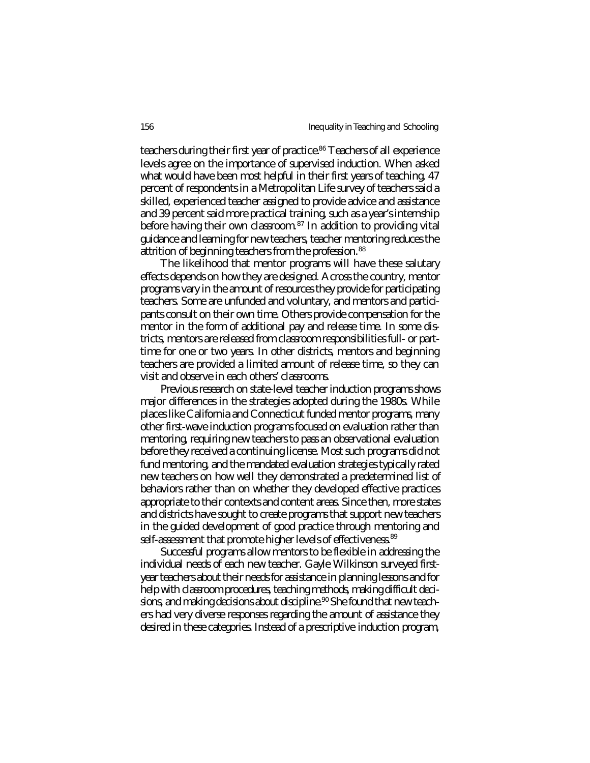teachers during their first year of practice.<sup>86</sup> Teachers of all experience levels agree on the importance of supervised induction. When asked what would have been most helpful in their first years of teaching, 47 percent of respondents in a Metropolitan Life survey of teachers said a skilled, experienced teacher assigned to provide advice and assistance and 39 percent said more practical training, such as a year's internship before having their own classroom.<sup>87</sup> In addition to providing vital guidance and learning for new teachers, teacher mentoring reduces the attrition of beginning teachers from the profession.<sup>88</sup>

The likelihood that mentor programs will have these salutary effects depends on how they are designed. Across the country, mentor programs vary in the amount of resources they provide for participating teachers. Some are unfunded and voluntary, and mentors and participants consult on their own time. Others provide compensation for the mentor in the form of additional pay and release time. In some districts, mentors are released from classroom responsibilities full- or parttime for one or two years. In other districts, mentors and beginning teachers are provided a limited amount of release time, so they can visit and observe in each others' classrooms.

Previous research on state-level teacher induction programs shows major differences in the strategies adopted during the 1980s. While places like California and Connecticut funded mentor programs, many other first-wave induction programs focused on evaluation rather than mentoring, requiring new teachers to pass an observational evaluation before they received a continuing license. Most such programs did not fund mentoring, and the mandated evaluation strategies typically rated new teachers on how well they demonstrated a predetermined list of behaviors rather than on whether they developed effective practices appropriate to their contexts and content areas. Since then, more states and districts have sought to create programs that support new teachers in the guided development of good practice through mentoring and self-assessment that promote higher levels of effectiveness.<sup>89</sup>

Successful programs allow mentors to be flexible in addressing the individual needs of each new teacher. Gayle Wilkinson surveyed firstyear teachers about their needs for assistance in planning lessons and for help with classroom procedures, teaching methods, making difficult decisions, and making decisions about discipline.<sup>90</sup> She found that new teachers had very diverse responses regarding the amount of assistance they desired in these categories. Instead of a prescriptive induction program,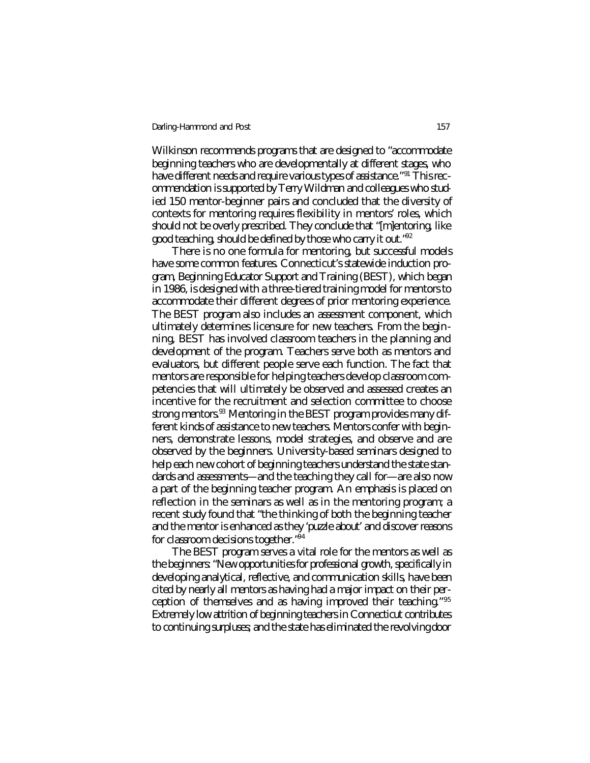Wilkinson recommends programs that are designed to "accommodate beginning teachers who are developmentally at different stages, who have different needs and require various types of assistance."<sup>91</sup> This recommendation is supported by Terry Wildman and colleagues who studied 150 mentor-beginner pairs and concluded that the diversity of contexts for mentoring requires flexibility in mentors' roles, which should not be overly prescribed. They conclude that "[m]entoring, like good teaching, should be defined by those who carry it out."<sup>92</sup>

There is no one formula for mentoring, but successful models have some common features. Connecticut's statewide induction program, Beginning Educator Support and Training (BEST), which began in 1986, is designed with a three-tiered training model for mentors to accommodate their different degrees of prior mentoring experience. The BEST program also includes an assessment component, which ultimately determines licensure for new teachers. From the beginning, BEST has involved classroom teachers in the planning and development of the program. Teachers serve both as mentors and evaluators, but different people serve each function. The fact that mentors are responsible for helping teachers develop classroom competencies that will ultimately be observed and assessed creates an incentive for the recruitment and selection committee to choose strong mentors.<sup>93</sup> Mentoring in the BEST program provides many different kinds of assistance to new teachers. Mentors confer with beginners, demonstrate lessons, model strategies, and observe and are observed by the beginners. University-based seminars designed to help each new cohort of beginning teachers understand the state standards and assessments—and the teaching they call for—are also now a part of the beginning teacher program. An emphasis is placed on reflection in the seminars as well as in the mentoring program; a recent study found that "the thinking of both the beginning teacher and the mentor is enhanced as they 'puzzle about' and discover reasons for classroom decisions together."<sup>94</sup>

The BEST program serves a vital role for the mentors as well as the beginners: "New opportunities for professional growth, specifically in developing analytical, reflective, and communication skills, have been cited by nearly all mentors as having had a major impact on their perception of themselves and as having improved their teaching."<sup>95</sup> Extremely low attrition of beginning teachers in Connecticut contributes to continuing surpluses; and the state has eliminated the revolving door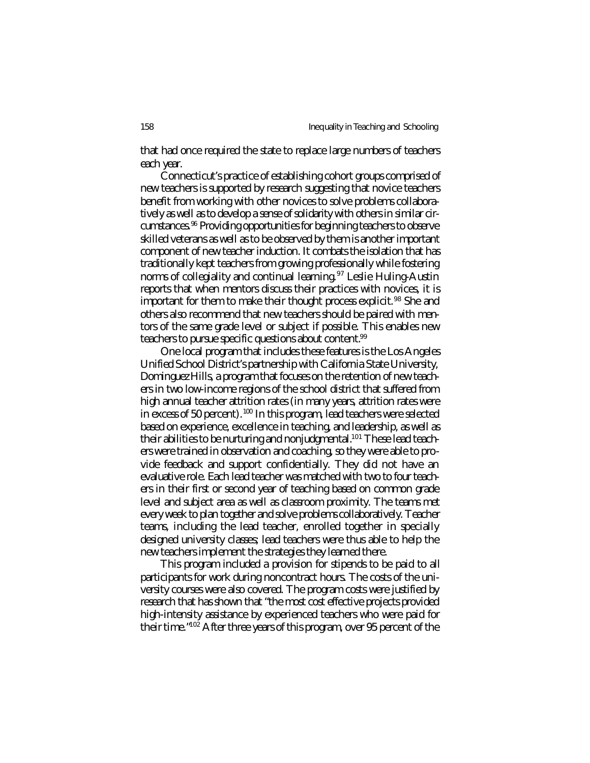that had once required the state to replace large numbers of teachers each year.

Connecticut's practice of establishing cohort groups comprised of new teachers is supported by research suggesting that novice teachers benefit from working with other novices to solve problems collaboratively as well as to develop a sense of solidarity with others in similar circumstances.<sup>96</sup> Providing opportunities for beginning teachers to observe skilled veterans as well as to be observed by them is another important component of new teacher induction. It combats the isolation that has traditionally kept teachers from growing professionally while fostering norms of collegiality and continual learning.<sup>97</sup> Leslie Huling-Austin reports that when mentors discuss their practices with novices, it is important for them to make their thought process explicit.<sup>98</sup> She and others also recommend that new teachers should be paired with mentors of the same grade level or subject if possible. This enables new teachers to pursue specific questions about content.<sup>99</sup>

One local program that includes these features is the Los Angeles Unified School District's partnership with California State University, Dominguez Hills, a program that focuses on the retention of new teachers in two low-income regions of the school district that suffered from high annual teacher attrition rates (in many years, attrition rates were in excess of 50 percent).<sup>100</sup> In this program, lead teachers were selected based on experience, excellence in teaching, and leadership, as well as their abilities to be nurturing and nonjudgmental.<sup>101</sup> These lead teachers were trained in observation and coaching, so they were able to provide feedback and support confidentially. They did not have an evaluative role. Each lead teacher was matched with two to four teachers in their first or second year of teaching based on common grade level and subject area as well as classroom proximity. The teams met every week to plan together and solve problems collaboratively. Teacher teams, including the lead teacher, enrolled together in specially designed university classes; lead teachers were thus able to help the new teachers implement the strategies they learned there.

This program included a provision for stipends to be paid to all participants for work during noncontract hours. The costs of the university courses were also covered. The program costs were justified by research that has shown that "the most cost effective projects provided high-intensity assistance by experienced teachers who were paid for their time."<sup>102</sup> After three years of this program, over 95 percent of the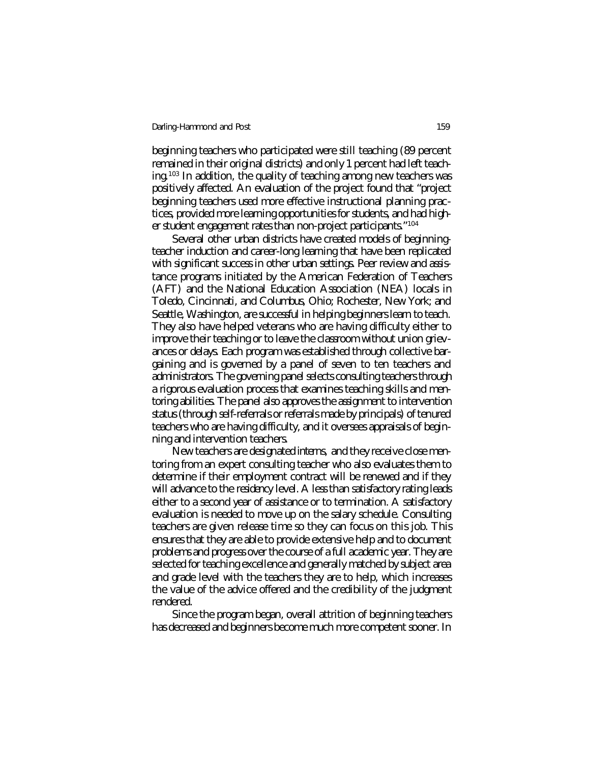beginning teachers who participated were still teaching (89 percent remained in their original districts) and only 1 percent had left teaching.<sup>103</sup> In addition, the quality of teaching among new teachers was positively affected. An evaluation of the project found that "project beginning teachers used more effective instructional planning practices, provided more learning opportunities for students, and had higher student engagement rates than non-project participants."<sup>104</sup>

Several other urban districts have created models of beginningteacher induction and career-long learning that have been replicated with significant success in other urban settings. Peer review and assistance programs initiated by the American Federation of Teachers (AFT) and the National Education Association (NEA) locals in Toledo, Cincinnati, and Columbus, Ohio; Rochester, New York; and Seattle, Washington, are successful in helping beginners learn to teach. They also have helped veterans who are having difficulty either to improve their teaching or to leave the classroom without union grievances or delays. Each program was established through collective bargaining and is governed by a panel of seven to ten teachers and administrators. The governing panel selects consulting teachers through a rigorous evaluation process that examines teaching skills and mentoring abilities. The panel also approves the assignment to intervention status (through self-referrals or referrals made by principals) of tenured teachers who are having difficulty, and it oversees appraisals of beginning and intervention teachers.

New teachers are designated *interns,* and they receive close mentoring from an expert consulting teacher who also evaluates them to determine if their employment contract will be renewed and if they will advance to the *residency* level. A less than satisfactory rating leads either to a second year of assistance or to termination. A satisfactory evaluation is needed to move up on the salary schedule. Consulting teachers are given release time so they can focus on this job. This ensures that they are able to provide extensive help and to document problems and progress over the course of a full academic year. They are selected for teaching excellence and generally matched by subject area and grade level with the teachers they are to help, which increases the value of the advice offered and the credibility of the judgment rendered.

Since the program began, overall attrition of beginning teachers has decreased and beginners become much more competent sooner. In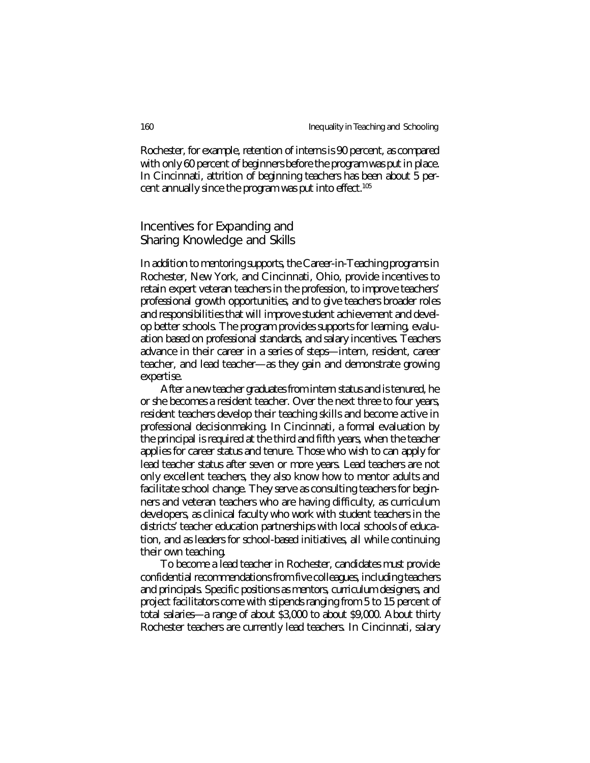Rochester, for example, retention of interns is 90 percent, as compared with only 60 percent of beginners before the program was put in place. In Cincinnati, attrition of beginning teachers has been about 5 percent annually since the program was put into effect.<sup>105</sup>

## Incentives for Expanding and Sharing Knowledge and Skills

In addition to mentoring supports, the Career-in-Teaching programs in Rochester, New York, and Cincinnati, Ohio, provide incentives to retain expert veteran teachers in the profession, to improve teachers' professional growth opportunities, and to give teachers broader roles and responsibilities that will improve student achievement and develop better schools. The program provides supports for learning, evaluation based on professional standards, and salary incentives. Teachers advance in their career in a series of steps—intern, resident, career teacher, and lead teacher—as they gain and demonstrate growing expertise.

After a new teacher graduates from intern status and is tenured, he or she becomes a resident teacher. Over the next three to four years, resident teachers develop their teaching skills and become active in professional decisionmaking. In Cincinnati, a formal evaluation by the principal is required at the third and fifth years, when the teacher applies for career status and tenure. Those who wish to can apply for lead teacher status after seven or more years. Lead teachers are not only excellent teachers, they also know how to mentor adults and facilitate school change. They serve as consulting teachers for beginners and veteran teachers who are having difficulty, as curriculum developers, as clinical faculty who work with student teachers in the districts' teacher education partnerships with local schools of education, and as leaders for school-based initiatives, all while continuing their own teaching.

To become a lead teacher in Rochester, candidates must provide confidential recommendations from five colleagues, including teachers and principals. Specific positions as mentors, curriculum designers, and project facilitators come with stipends ranging from 5 to 15 percent of total salaries—a range of about \$3,000 to about \$9,000. About thirty Rochester teachers are currently lead teachers. In Cincinnati, salary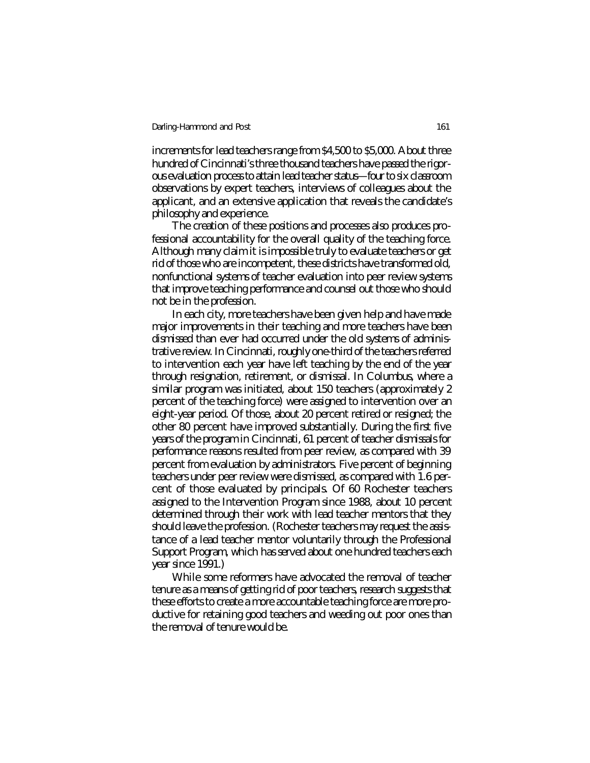increments for lead teachers range from \$4,500 to \$5,000. About three hundred of Cincinnati's three thousand teachers have passed the rigorous evaluation process to attain lead teacher status—four to six classroom observations by expert teachers, interviews of colleagues about the applicant, and an extensive application that reveals the candidate's philosophy and experience.

The creation of these positions and processes also produces professional accountability for the overall quality of the teaching force. Although many claim it is impossible truly to evaluate teachers or get rid of those who are incompetent, these districts have transformed old, nonfunctional systems of teacher evaluation into peer review systems that improve teaching performance and counsel out those who should not be in the profession.

In each city, more teachers have been given help and have made major improvements in their teaching and more teachers have been dismissed than ever had occurred under the old systems of administrative review. In Cincinnati, roughly one-third of the teachers referred to intervention each year have left teaching by the end of the year through resignation, retirement, or dismissal. In Columbus, where a similar program was initiated, about 150 teachers (approximately 2 percent of the teaching force) were assigned to intervention over an eight-year period. Of those, about 20 percent retired or resigned; the other 80 percent have improved substantially. During the first five years of the program in Cincinnati, 61 percent of teacher dismissals for performance reasons resulted from peer review, as compared with 39 percent from evaluation by administrators. Five percent of beginning teachers under peer review were dismissed, as compared with 1.6 percent of those evaluated by principals. Of 60 Rochester teachers assigned to the Intervention Program since 1988, about 10 percent determined through their work with lead teacher mentors that they should leave the profession. (Rochester teachers may request the assistance of a lead teacher mentor voluntarily through the Professional Support Program, which has served about one hundred teachers each year since 1991.)

While some reformers have advocated the removal of teacher tenure as a means of getting rid of poor teachers, research suggests that these efforts to create a more accountable teaching force are more productive for retaining good teachers and weeding out poor ones than the removal of tenure would be.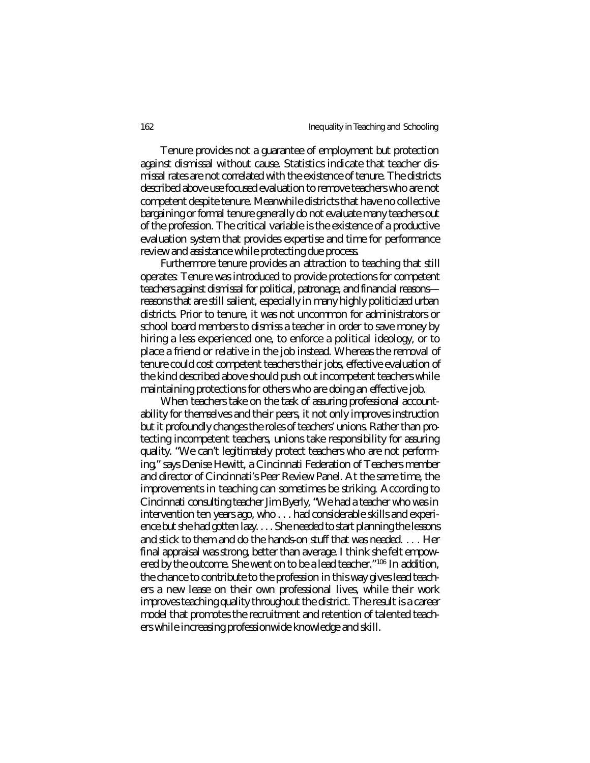Tenure provides not a guarantee of employment but protection against dismissal without cause. Statistics indicate that teacher dismissal rates are not correlated with the existence of tenure. The districts described above use focused evaluation to remove teachers who are not competent despite tenure. Meanwhile districts that have no collective bargaining or formal tenure generally do not evaluate many teachers out of the profession. The critical variable is the existence of a productive evaluation system that provides expertise and time for performance review and assistance while protecting due process.

Furthermore tenure provides an attraction to teaching that still operates: Tenure was introduced to provide protections for competent teachers against dismissal for political, patronage, and financial reasons reasons that are still salient, especially in many highly politicized urban districts. Prior to tenure, it was not uncommon for administrators or school board members to dismiss a teacher in order to save money by hiring a less experienced one, to enforce a political ideology, or to place a friend or relative in the job instead. Whereas the removal of tenure could cost competent teachers their jobs, effective evaluation of the kind described above should push out incompetent teachers while maintaining protections for others who are doing an effective job.

When teachers take on the task of assuring professional accountability for themselves and their peers, it not only improves instruction but it profoundly changes the roles of teachers' unions. Rather than protecting incompetent teachers, unions take responsibility for assuring quality. "We can't legitimately protect teachers who are not performing," says Denise Hewitt, a Cincinnati Federation of Teachers member and director of Cincinnati's Peer Review Panel. At the same time, the improvements in teaching can sometimes be striking. According to Cincinnati consulting teacher Jim Byerly, "We had a teacher who was in intervention ten years ago, who . . . had considerable skills and experience but she had gotten lazy. . . . She needed to start planning the lessons and stick to them and do the hands-on stuff that was needed. . . . Her final appraisal was strong, better than average. I think she felt empowered by the outcome. She went on to be a lead teacher."<sup>106</sup> In addition, the chance to contribute to the profession in this way gives lead teachers a new lease on their own professional lives, while their work improves teaching quality throughout the district. The result is a career model that promotes the recruitment and retention of talented teachers while increasing professionwide knowledge and skill.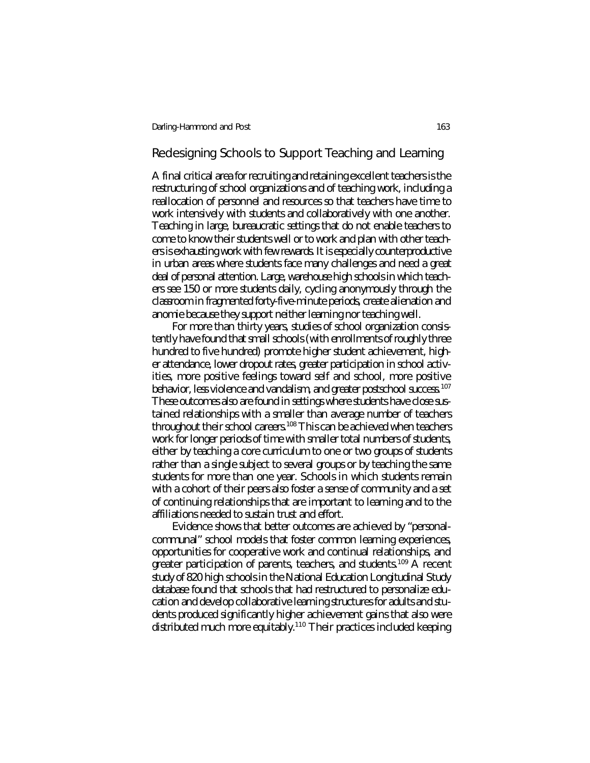## Redesigning Schools to Support Teaching and Learning

A final critical area for recruiting and retaining excellent teachers is the restructuring of school organizations and of teaching work, including a reallocation of personnel and resources so that teachers have time to work intensively with students and collaboratively with one another. Teaching in large, bureaucratic settings that do not enable teachers to come to know their students well or to work and plan with other teachers is exhausting work with few rewards. It is especially counterproductive in urban areas where students face many challenges and need a great deal of personal attention. Large, warehouse high schools in which teachers see 150 or more students daily, cycling anonymously through the classroom in fragmented forty-five-minute periods, create alienation and anomie because they support neither learning nor teaching well.

For more than thirty years, studies of school organization consistently have found that small schools (with enrollments of roughly three hundred to five hundred) promote higher student achievement, higher attendance, lower dropout rates, greater participation in school activities, more positive feelings toward self and school, more positive behavior, less violence and vandalism, and greater postschool success.<sup>107</sup> These outcomes also are found in settings where students have close sustained relationships with a smaller than average number of teachers throughout their school careers.<sup>108</sup> This can be achieved when teachers work for longer periods of time with smaller total numbers of students, either by teaching a core curriculum to one or two groups of students rather than a single subject to several groups or by teaching the same students for more than one year. Schools in which students remain with a cohort of their peers also foster a sense of community and a set of continuing relationships that are important to learning and to the affiliations needed to sustain trust and effort.

Evidence shows that better outcomes are achieved by "personalcommunal" school models that foster common learning experiences, opportunities for cooperative work and continual relationships, and greater participation of parents, teachers, and students.<sup>109</sup> A recent study of 820 high schools in the National Education Longitudinal Study database found that schools that had restructured to personalize education and develop collaborative learning structures for adults and students produced significantly higher achievement gains that also were distributed much more equitably.<sup>110</sup> Their practices included keeping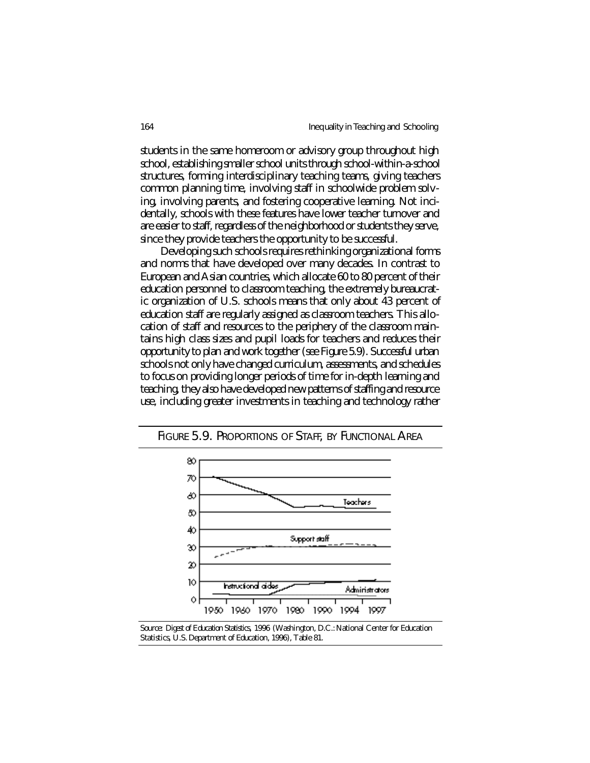students in the same homeroom or advisory group throughout high school, establishing smaller school units through school-within-a-school structures, forming interdisciplinary teaching teams, giving teachers common planning time, involving staff in schoolwide problem solving, involving parents, and fostering cooperative learning. Not incidentally, schools with these features have lower teacher turnover and are easier to staff, regardless of the neighborhood or students they serve, since they provide teachers the opportunity to be successful.

Developing such schools requires rethinking organizational forms and norms that have developed over many decades. In contrast to European and Asian countries, which allocate 60 to 80 percent of their education personnel to classroom teaching, the extremely bureaucratic organization of U.S. schools means that only about 43 percent of education staff are regularly assigned as classroom teachers. This allocation of staff and resources to the periphery of the classroom maintains high class sizes and pupil loads for teachers and reduces their opportunity to plan and work together (see Figure 5.9). Successful urban schools not only have changed curriculum, assessments, and schedules to focus on providing longer periods of time for in-depth learning and teaching, they also have developed new patterns of staffing and resource use, including greater investments in teaching and technology rather



FIGURE 5.9. PROPORTIONS OF STAFF, BY FUNCTIONAL AREA

*Source: Digest of Education Statistics, 1996* (Washington, D.C.: National Center for Education Statistics, U.S. Department of Education, 1996), Table 81.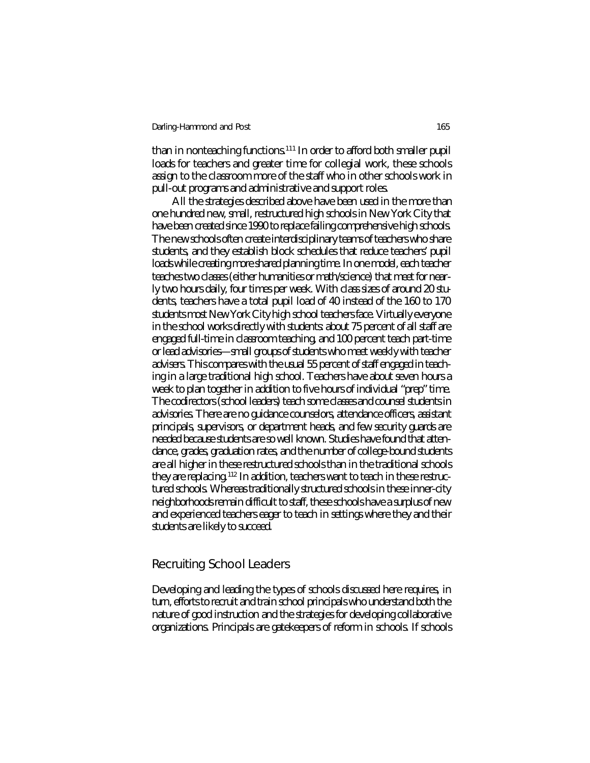than in nonteaching functions.<sup>111</sup> In order to afford both smaller pupil loads for teachers and greater time for collegial work, these schools assign to the classroom more of the staff who in other schools work in pull-out programs and administrative and support roles.

All the strategies described above have been used in the more than one hundred new, small, restructured high schools in New York City that have been created since 1990 to replace failing comprehensive high schools. The new schools often create interdisciplinary teams of teachers who share students, and they establish block schedules that reduce teachers' pupil loads while creating more shared planning time. In one model, each teacher teaches two classes (either humanities or math/science) that meet for nearly two hours daily, four times per week. With class sizes of around 20 students, teachers have a total pupil load of 40 instead of the 160 to 170 students most New York City high school teachers face. Virtually everyone in the school works directly with students: about 75 percent of all staff are engaged full-time in classroom teaching, and 100 percent teach part-time or lead advisories—small groups of students who meet weekly with teacher advisers. This compares with the usual 55 percent of staff engaged in teaching in a large traditional high school. Teachers have about seven hours a week to plan together in addition to five hours of individual "prep" time. The codirectors (school leaders) teach some classes and counsel students in advisories. There are no guidance counselors, attendance officers, assistant principals, supervisors, or department heads, and few security guards are needed because students are so well known. Studies have found that attendance, grades, graduation rates, and the number of college-bound students are all higher in these restructured schools than in the traditional schools they are replacing.<sup>112</sup> In addition, teachers want to teach in these restructured schools. Whereas traditionally structured schools in these inner-city neighborhoods remain difficult to staff, these schools have a surplus of new and experienced teachers eager to teach in settings where they and their students are likely to succeed.

### Recruiting School Leaders

Developing and leading the types of schools discussed here requires, in turn, efforts to recruit and train school principals who understand both the nature of good instruction and the strategies for developing collaborative organizations. Principals are gatekeepers of reform in schools. If schools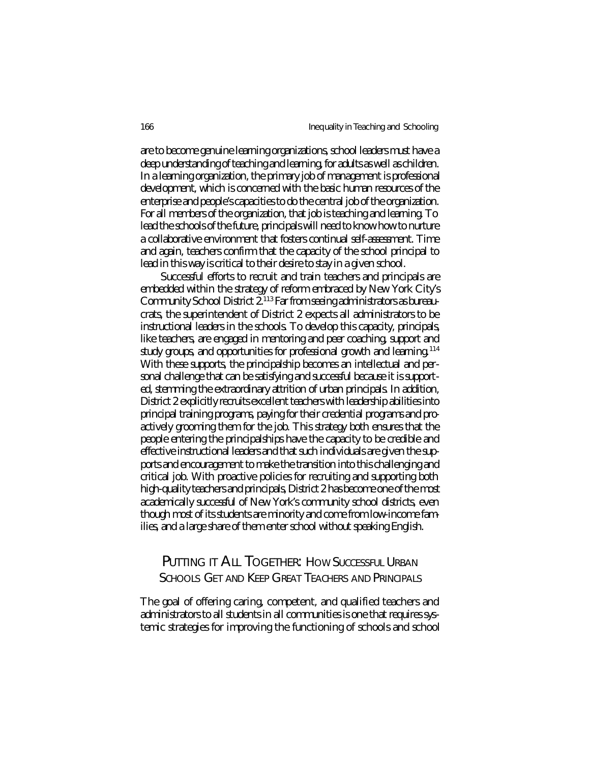are to become genuine learning organizations, school leaders must have a deep understanding of teaching and learning, for adults as well as children. In a learning organization, the primary job of management is professional development, which is concerned with the basic human resources of the enterprise and people's capacities to do the central job of the organization. For all members of the organization, that job is teaching and learning. To lead the schools of the future, principals will need to know how to nurture a collaborative environment that fosters continual self-assessment. Time and again, teachers confirm that the capacity of the school principal to lead in this way is critical to their desire to stay in a given school.

Successful efforts to recruit and train teachers and principals are embedded within the strategy of reform embraced by New York City's Community School District 2.<sup>113</sup> Far from seeing administrators as bureaucrats, the superintendent of District 2 expects all administrators to be instructional leaders in the schools. To develop this capacity, principals, like teachers, are engaged in mentoring and peer coaching, support and study groups, and opportunities for professional growth and learning.<sup>114</sup> With these supports, the principalship becomes an intellectual and personal challenge that can be satisfying and successful because it is supported, stemming the extraordinary attrition of urban principals. In addition, District 2 explicitly recruits excellent teachers with leadership abilities into principal training programs, paying for their credential programs and proactively grooming them for the job. This strategy both ensures that the people entering the principalships have the capacity to be credible and effective instructional leaders and that such individuals are given the supports and encouragement to make the transition into this challenging and critical job. With proactive policies for recruiting and supporting both high-quality teachers and principals, District 2 has become one of the most academically successful of New York's community school districts, even though most of its students are minority and come from low-income families, and a large share of them enter school without speaking English.

# PUTTING IT ALL TOGETHER: HOW SUCCESSFUL URBAN SCHOOLS GET AND KEEP GREAT TEACHERS AND PRINCIPALS

The goal of offering caring, competent, and qualified teachers and administrators to all students in all communities is one that requires systemic strategies for improving the functioning of schools and school